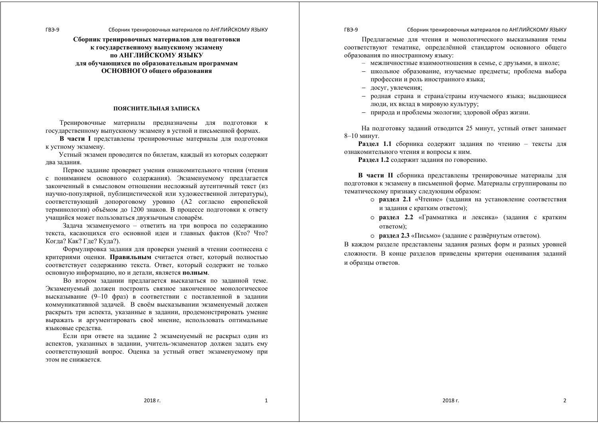**Сборник тренировочных материалов для подготовки <sup>к</sup> государственному выпускному экзамену по АНГЛИЙСКОМУ ЯЗЫКУ для обучающихся по образовательным программам ОСНОВНОГО общего образования**

#### **ПОЯСНИТЕЛЬНАЯ ЗАПИСКА**

Тренировочные материалы предназначены для подготовки <sup>к</sup> государственному выпускному экзамену <sup>в</sup> устной <sup>и</sup> письменной формах.

**В части I** представлены тренировочные материалы для подготовки <sup>к</sup> устному экзамену.

Устный экзамен проводится по билетам, каждый из которых содержит два задания.

Первое задание проверяет умения ознакомительного чтения (чтения <sup>с</sup> пониманием основного содержания). Экзаменуемому предлагается законченный <sup>в</sup> смысловом отношении несложный аутентичный текст (из научно-популярной, публицистической или художественной литературы), соответствующий допороговому уровню (А2 согласно европейской терминологии) объёмом до 1200 знаков. В процессе подготовки <sup>к</sup> ответу учащийся может пользоваться двуязычным словарём.

Задача экзаменуемого – ответить на три вопроса по содержанию текста, касающихся его основной идеи <sup>и</sup> главных фактов (Кто? Что? Когда? Как? Где? Куда?).

Формулировка задания для проверки умений <sup>в</sup> чтении соотнесена <sup>с</sup> критериями оценки. **Правильным** считается ответ, который полностью соответствует содержанию текста. Ответ, который содержит не только основную информацию, но <sup>и</sup> детали, является **полным**.

Во втором задании предлагается высказаться по заданной теме. Экзаменуемый должен построить связное законченное монологическое высказывание (9–10 фраз) <sup>в</sup> соответствии <sup>с</sup> поставленной <sup>в</sup> задании коммуникативной задачей. В своём высказывании экзаменуемый должен раскрыть три аспекта, указанные <sup>в</sup> задании, продемонстрировать умение выражать <sup>и</sup> аргументировать своё мнение, использовать оптимальные языковые средства.

Если при ответе на задание 2 экзаменуемый не раскрыл один из аспектов, указанных <sup>в</sup> задании, учитель-экзаменатор должен задать ему соответствующий вопрос. Оценка за устный ответ экзаменуемому при этом не снижается.

#### ГВЭ-9 Сборник тренировочных материалов по АНГЛИЙСКОМУ ЯЗЫКУ

Предлагаемые для чтения <sup>и</sup> монологического высказывания темы соответствуют тематике, определённой стандартом основного общего образования по иностранному языку:

- межличностные взаимоотношения <sup>в</sup> семье, с друзьями, <sup>в</sup> школе;
- − школьное образование, изучаемые предметы; проблема выбора профессии <sup>и</sup> роль иностранного языка;
- − досуг, увлечения;
- родная страна <sup>и</sup> страна/страны изучаемого языка; выдающиеся люди, их вклад <sup>в</sup> мировую культуру;
- − природа <sup>и</sup> проблемы экологии; здоровой образ жизни.

На подготовку заданий отводится 25 минут, устный ответ занимает 8–10 минут.

**Раздел 1.1** сборника содержит задания по чтению – тексты для ознакомительного чтения <sup>и</sup> вопросы <sup>к</sup> ним.

**Раздел 1.2** содержит задания по говорению.

**В части II** сборника представлены тренировочные материалы для подготовки <sup>к</sup> экзамену <sup>в</sup> письменной форме. Материалы сгруппированы по тематическому признаку следующим образом:

- <sup>o</sup> **раздел 2.1** «Чтение» (задания на установление соответствия <sup>и</sup> задания <sup>с</sup> кратким ответом);
- <sup>o</sup> **раздел 2.2** «Грамматика <sup>и</sup> лексика» (задания <sup>с</sup> кратким ответом);
- <sup>o</sup> **раздел 2.3** «Письмо» (задание <sup>с</sup> развёрнутым ответом).

В каждом разделе представлены задания разных форм <sup>и</sup> разных уровней сложности. В конце разделов приведены критерии оценивания заданий <sup>и</sup> образцы ответов.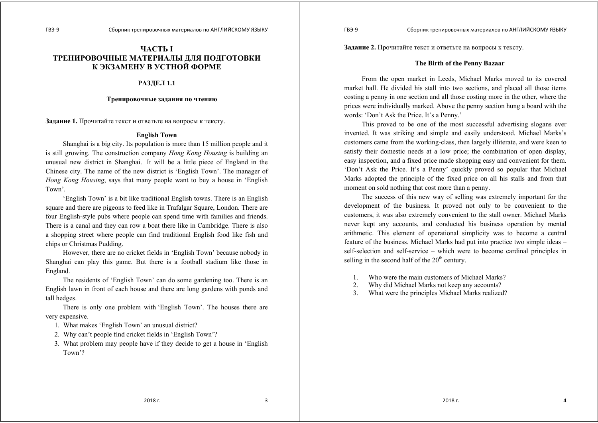# **ЧАСТЬ I ТРЕНИРОВОЧНЫЕ МАТЕРИАЛЫ ДЛЯ ПОДГОТОВКИ К ЭКЗАМЕНУ В УСТНОЙ ФОРМЕ**

#### **РАЗДЕЛ 1.1**

#### **Тренировочные задания по чтению**

**Задание 1.** Прочитайте текст <sup>и</sup> ответьте на вопросы <sup>к</sup> тексту.

## **English Town**

Shanghai is a big city. Its population is more than 15 million people and it is still growing. The construction company *Hong Kong Housing* is building an unusual new district in Shanghai. It will be a little piece of England in the Chinese city. The name of the new district is 'English Town'. The manager of *Hong Kong Housing*, says that many people want to buy a house in 'English Town'.

'English Town' is a bit like traditional English towns. There is an English square and there are pigeons to feed like in Trafalgar Square, London. There are four English-style pubs where people can spend time with families and friends. There is a canal and they can row a boat there like in Cambridge. There is also a shopping street where people can find traditional English food like fish and chips or Christmas Pudding.

However, there are no cricket fields in 'English Town' because nobody in Shanghai can play this game. But there is a football stadium like those in England.

The residents of 'English Town' can do some gardening too. There is an English lawn in front of each house and there are long gardens with ponds and tall hedges.

There is only one problem with 'English Town'. The houses there are very expensive.

- 1. What makes 'English Town' an unusual district?
- 2. Why can't people find cricket fields in 'English Town'?
- 3. What problem may people have if they decide to get a house in 'English Town'?

**Задание 2.** Прочитайте текст <sup>и</sup> ответьте на вопросы <sup>к</sup> тексту.

#### **The Birth of the Penny Bazaar**

From the open market in Leeds, Michael Marks moved to its covered market hall. He divided his stall into two sections, and placed all those items costing a penny in one section and all those costing more in the other, where the prices were individually marked. Above the penny section hung a board with the words: 'Don't Ask the Price. It's a Penny.'

This proved to be one of the most successful advertising slogans ever invented. It was striking and simple and easily understood. Michael Marks's customers came from the working-class, then largely illiterate, and were keen to satisfy their domestic needs at a low price; the combination of open display, easy inspection, and a fixed price made shopping easy and convenient for them. 'Don't Ask the Price. It's a Penny' quickly proved so popular that Michael Marks adopted the principle of the fixed price on all his stalls and from that moment on sold nothing that cost more than a penny.

The success of this new way of selling was extremely important for the development of the business. It proved not only to be convenient to the customers, it was also extremely convenient to the stall owner. Michael Marks never kept any accounts, and conducted his business operation by mental arithmetic. This element of operational simplicity was to become a central feature of the business. Michael Marks had put into practice two simple ideas – self-selection and self-service – which were to become cardinal principles in selling in the second half of the  $20<sup>th</sup>$  century.

- 1. Who were the main customers of Michael Marks?
- 2. Why did Michael Marks not keep any accounts?
- 3. What were the principles Michael Marks realized?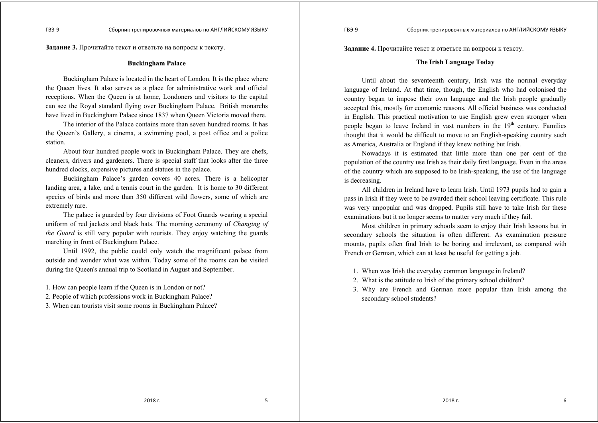**Задание 3.** Прочитайте текст <sup>и</sup> ответьте на вопросы <sup>к</sup> тексту.

## **Buckingham Palace**

Buckingham Palace is located in the heart of London. It is the place where the Queen lives. It also serves as a place for administrative work and official receptions. When the Queen is at home, Londoners and visitors to the capital can see the Royal standard flying over Buckingham Palace. British monarchs have lived in Buckingham Palace since 1837 when Queen Victoria moved there.

The interior of the Palace contains more than seven hundred rooms. It has the Queen's Gallery, a cinema, a swimming pool, a post office and a police station.

About four hundred people work in Buckingham Palace. They are chefs, cleaners, drivers and gardeners. There is special staff that looks after the three hundred clocks, expensive pictures and statues in the palace.

Buckingham Palace's garden covers 40 acres. There is a helicopter landing area, a lake, and a tennis court in the garden. It is home to 30 different species of birds and more than 350 different wild flowers, some of which are extremely rare.

The palace is guarded by four divisions of Foot Guards wearing a special uniform of red jackets and black hats. The morning ceremony of *Changing of the Guard* is still very popular with tourists. They enjoy watching the guards marching in front of Buckingham Palace.

Until 1992, the public could only watch the magnificent palace from outside and wonder what was within. Today some of the rooms can be visited during the Queen's annual trip to Scotland in August and September.

1. How can people learn if the Queen is in London or not?

2. People of which professions work in Buckingham Palace?

3. When can tourists visit some rooms in Buckingham Palace?

**Задание 4.** Прочитайте текст <sup>и</sup> ответьте на вопросы <sup>к</sup> тексту.

## **The Irish Language Today**

Until about the seventeenth century, Irish was the normal everyday language of Ireland. At that time, though, the English who had colonised the country began to impose their own language and the Irish people gradually accepted this, mostly for economic reasons. All official business was conducted in English. This practical motivation to use English grew even stronger when people began to leave Ireland in vast numbers in the  $19<sup>th</sup>$  century. Families thought that it would be difficult to move to an English-speaking country such as America, Australia or England if they knew nothing but Irish.

Nowadays it is estimated that little more than one per cent of the population of the country use Irish as their daily first language. Even in the areas of the country which are supposed to be Irish-speaking, the use of the language is decreasing.

All children in Ireland have to learn Irish. Until 1973 pupils had to gain a pass in Irish if they were to be awarded their school leaving certificate. This rule was very unpopular and was dropped. Pupils still have to take Irish for these examinations but it no longer seems to matter very much if they fail.

Most children in primary schools seem to enjoy their Irish lessons but in secondary schools the situation is often different. As examination pressure mounts, pupils often find Irish to be boring and irrelevant, as compared with French or German, which can at least be useful for getting a job.

- 1. When was Irish the everyday common language in Ireland?
- 2. What is the attitude to Irish of the primary school children?
- 3. Why are French and German more popular than Irish among the secondary school students?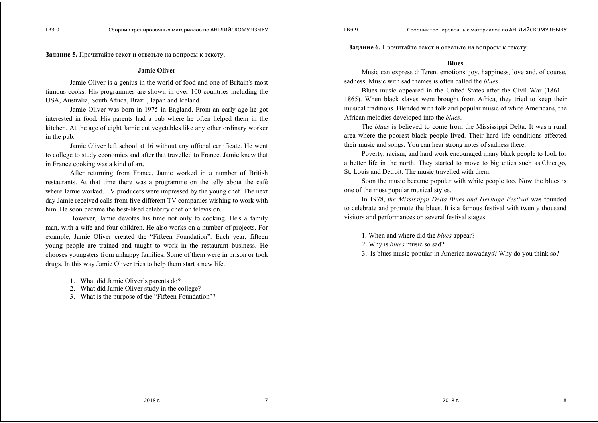**Задание 5.** Прочитайте текст <sup>и</sup> ответьте на вопросы <sup>к</sup> тексту.

#### **Jamie Oliver**

Jamie Oliver is a genius in the world of food and one of Britain's most famous cooks. His programmes are shown in over 100 countries including the USA, Australia, South Africa, Brazil, Japan and Iceland.

Jamie Oliver was born in 1975 in England. From an early age he got interested in food. His parents had a pub where he often helped them in the kitchen. At the age of eight Jamie cut vegetables like any other ordinary worker in the pub.

Jamie Oliver left school at 16 without any official certificate. He went to college to study economics and after that travelled to France. Jamie knew that in France cooking was a kind of art.

After returning from France, Jamie worked in a number of British restaurants. At that time there was a programme on the telly about the café where Jamie worked. TV producers were impressed by the young chef. The next day Jamie received calls from five different TV companies wishing to work with him. He soon became the best-liked celebrity chef on television.

However, Jamie devotes his time not only to cooking. He's a family man, with a wife and four children. He also works on a number of projects. For example, Jamie Oliver created the "Fifteen Foundation". Each year, fifteen young people are trained and taught to work in the restaurant business. He chooses youngsters from unhappy families. Some of them were in prison or took drugs. In this way Jamie Oliver tries to help them start a new life.

- 1. What did Jamie Oliver's parents do?
- 2. What did Jamie Oliver study in the college?
- 3. What is the purpose of the "Fifteen Foundation"?

**Задание 6.** Прочитайте текст <sup>и</sup> ответьте на вопросы <sup>к</sup> тексту.

#### **Blues**

Music can express different emotions: joy, happiness, love and, of course, sadness. Music with sad themes is often called the *blues*.

Blues music appeared in the United States after the Civil War (1861 – 1865). When black slaves were brought from Africa, they tried to keep their musical traditions. Blended with folk and popular music of white Americans, the African melodies developed into the *blues*.

The *blues* is believed to come from the Mississippi Delta. It was a rural area where the poorest black people lived. Their hard life conditions affected their music and songs. You can hear strong notes of sadness there.

Poverty, racism, and hard work encouraged many black people to look for a better life in the north. They started to move to big cities such as Chicago, St. Louis and Detroit. The music travelled with them.

Soon the music became popular with white people too. Now the blues is one of the most popular musical styles.

In 1978, *the Mississippi Delta Blues and Heritage Festival* was founded to celebrate and promote the blues. It is a famous festival with twenty thousand visitors and performances on several festival stages.

1. When and where did the *blues* appear?

- 2. Why is *blues* music so sad?
- 3. Is blues music popular in America nowadays? Why do you think so?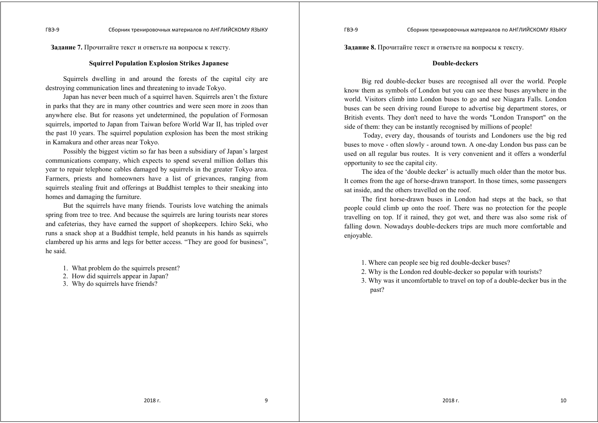**Задание 7.** Прочитайте текст <sup>и</sup> ответьте на вопросы <sup>к</sup> тексту.

## **Squirrel Population Explosion Strikes Japanese**

Squirrels dwelling in and around the forests of the capital city are destroying communication lines and threatening to invade Tokyo.

Japan has never been much of a squirrel haven. Squirrels aren't the fixture in parks that they are in many other countries and were seen more in zoos than anywhere else. But for reasons yet undetermined, the population of Formosan squirrels, imported to Japan from Taiwan before World War II, has tripled over the past 10 years. The squirrel population explosion has been the most striking in Kamakura and other areas near Tokyo.

Possibly the biggest victim so far has been a subsidiary of Japan's largest communications company, which expects to spend several million dollars this year to repair telephone cables damaged by squirrels in the greater Tokyo area. Farmers, priests and homeowners have a list of grievances, ranging from squirrels stealing fruit and offerings at Buddhist temples to their sneaking into homes and damaging the furniture.

But the squirrels have many friends. Tourists love watching the animals spring from tree to tree. And because the squirrels are luring tourists near stores and cafeterias, they have earned the support of shopkeepers. Ichiro Seki, who runs a snack shop at a Buddhist temple, held peanuts in his hands as squirrels clambered up his arms and legs for better access. "They are good for business", he said.

- 1. What problem do the squirrels present?
- 2. How did squirrels appear in Japan?
- 3. Why do squirrels have friends?

**Задание 8.** Прочитайте текст <sup>и</sup> ответьте на вопросы <sup>к</sup> тексту.

### **Double-deckers**

ГВЭ-9 Сборник тренировочных материалов по АНГЛИЙСКОМУ ЯЗЫКУ

Big red double-decker buses are recognised all over the world. People know them as symbols of London but you can see these buses anywhere in the world. Visitors climb into London buses to go and see Niagara Falls. London buses can be seen driving round Europe to advertise big department stores, or British events. They don't need to have the words "London Transport" on the side of them: they can be instantly recognised by millions of people!

 Today, every day, thousands of tourists and Londoners use the big red buses to move - often slowly - around town. A one-day London bus pass can be used on all regular bus routes. It is very convenient and it offers a wonderful opportunity to see the capital city.

The idea of the 'double decker' is actually much older than the motor bus. It comes from the age of horse-drawn transport. In those times, some passengers sat inside, and the others travelled on the roof.

The first horse-drawn buses in London had steps at the back, so that people could climb up onto the roof. There was no protection for the people travelling on top. If it rained, they got wet, and there was also some risk of falling down. Nowadays double-deckers trips are much more comfortable and enjoyable.

- 1. Where can people see big red double-decker buses?
- 2. Why is the London red double-decker so popular with tourists?
- 3. Why was it uncomfortable to travel on top of a double-decker bus in the past?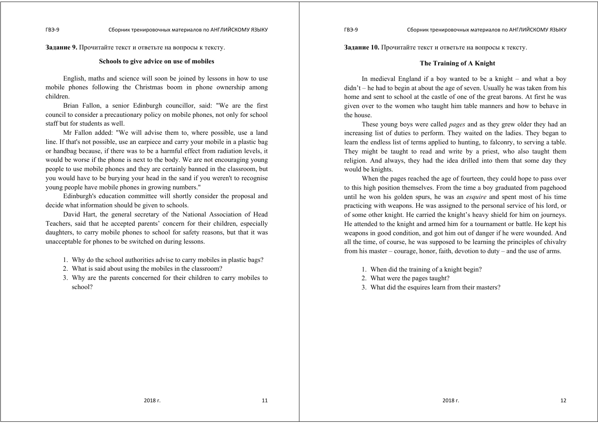**Задание 9.** Прочитайте текст <sup>и</sup> ответьте на вопросы <sup>к</sup> тексту.

#### **Schools to give advice on use of mobiles**

English, maths and science will soon be joined by lessons in how to use mobile phones following the Christmas boom in phone ownership among children.

Brian Fallon, a senior Edinburgh councillor, said: "We are the first council to consider a precautionary policy on mobile phones, not only for school staff but for students as well.

Mr Fallon added: "We will advise them to, where possible, use a land line. If that's not possible, use an earpiece and carry your mobile in a plastic bag or handbag because, if there was to be a harmful effect from radiation levels, it would be worse if the phone is next to the body. We are not encouraging young people to use mobile phones and they are certainly banned in the classroom, but you would have to be burying your head in the sand if you weren't to recognise young people have mobile phones in growing numbers."

Edinburgh's education committee will shortly consider the proposal and decide what information should be given to schools.

David Hart, the general secretary of the National Association of Head Teachers, said that he accepted parents' concern for their children, especially daughters, to carry mobile phones to school for safety reasons, but that it was unacceptable for phones to be switched on during lessons.

- 1. Why do the school authorities advise to carry mobiles in plastic bags?
- 2. What is said about using the mobiles in the classroom?
- 3. Why are the parents concerned for their children to carry mobiles to school?

**Задание 10.** Прочитайте текст <sup>и</sup> ответьте на вопросы <sup>к</sup> тексту.

## **The Training of A Knight**

In medieval England if a boy wanted to be a knight – and what a boy  $di<sub>dr</sub> + h<sub>g</sub>$  he had to begin at about the age of seven. Usually he was taken from his home and sent to school at the castle of one of the great barons. At first he was given over to the women who taught him table manners and how to behave in the house.

These young boys were called *pages* and as they grew older they had an increasing list of duties to perform. They waited on the ladies. They began to learn the endless list of terms applied to hunting, to falconry, to serving a table. They might be taught to read and write by a priest, who also taught them religion. And always, they had the idea drilled into them that some day they would be knights.

When the pages reached the age of fourteen, they could hope to pass over to this high position themselves. From the time a boy graduated from pagehood until he won his golden spurs, he was an *esquire* and spent most of his time practicing with weapons. He was assigned to the personal service of his lord, or of some other knight. He carried the knight's heavy shield for him on journeys. He attended to the knight and armed him for a tournament or battle. He kept his weapons in good condition, and got him out of danger if he were wounded. And all the time, of course, he was supposed to be learning the principles of chivalry from his master – courage, honor, faith, devotion to duty – and the use of arms.

- 1. When did the training of a knight begin?
- 2. What were the pages taught?
- 3. What did the esquires learn from their masters?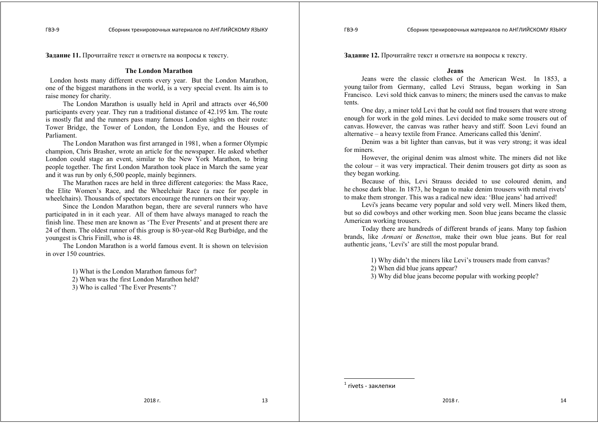**Задание 11.** Прочитайте текст <sup>и</sup> ответьте на вопросы <sup>к</sup> тексту.

## **The London Marathon**

London hosts many different events every year. But the London Marathon, one of the biggest marathons in the world, is a very special event. Its aim is to raise money for charity.

The London Marathon is usually held in April and attracts over 46,500 participants every year. They run a traditional distance of 42.195 km. The route is mostly flat and the runners pass many famous London sights on their route: Tower Bridge, the Tower of London, the London Eye, and the Houses of Parliament.

The London Marathon was first arranged in 1981, when a former Olympic champion, Chris Brasher, wrote an article for the newspaper. He asked whether London could stage an event, similar to the New York Marathon, to bring people together. The first London Marathon took place in March the same year and it was run by only 6,500 people, mainly beginners.

The Marathon races are held in three different categories: the Mass Race, the Elite Women's Race, and the Wheelchair Race (a race for people in wheelchairs). Thousands of spectators encourage the runners on their way.

Since the London Marathon began, there are several runners who have participated in in it each year. All of them have always managed to reach the finish line. These men are known as 'The Ever Presents' and at present there are 24 of them. The oldest runner of this group is 80-year-old Reg Burbidge, and the youngest is Chris Finill, who is 48.

The London Marathon is a world famous event. It is shown on television in over 150 countries.

1) What is the London Marathon famous for?

2) When was the first London Marathon held?

3) Who is called 'The Ever Presents'?

**Задание 12.** Прочитайте текст <sup>и</sup> ответьте на вопросы <sup>к</sup> тексту.

#### **Jeans**

Jeans were the classic clothes of the American West. In 1853, a young tailor from Germany, called Levi Strauss, began working in San Francisco. Levi sold thick canvas to miners; the miners used the canvas to make tents.

One day, a miner told Levi that he could not find trousers that were strong enough for work in the gold mines. Levi decided to make some trousers out of canvas. However, the canvas was rather heavy and stiff. Soon Levi found an alternative – a heavy textile from France. Americans called this 'denim'.

Denim was a bit lighter than canvas, but it was very strong; it was ideal for miners.

However, the original denim was almost white. The miners did not like the colour – it was very impractical. Their denim trousers got dirty as soon as they began working.

Because of this, Levi Strauss decided to use coloured denim, and he chose dark blue. In 1873, he began to make denim trousers with metal rivets<sup>1</sup> to make them stronger. This was a radical new idea: 'Blue jeans' had arrived!

Levi's jeans became very popular and sold very well. Miners liked them, but so did cowboys and other working men. Soon blue jeans became the classic American working trousers.

Today there are hundreds of different brands of jeans. Many top fashion brands, like *Armani* or *Benetton*, make their own blue jeans. But for real authentic jeans, 'Levi's' are still the most popular brand.

1) Why didn't the miners like Levi's trousers made from canvas?

2) When did blue jeans appear?

3) Why did blue jeans become popular with working people?

 $<sup>1</sup>$  rivets - заклепки</sup>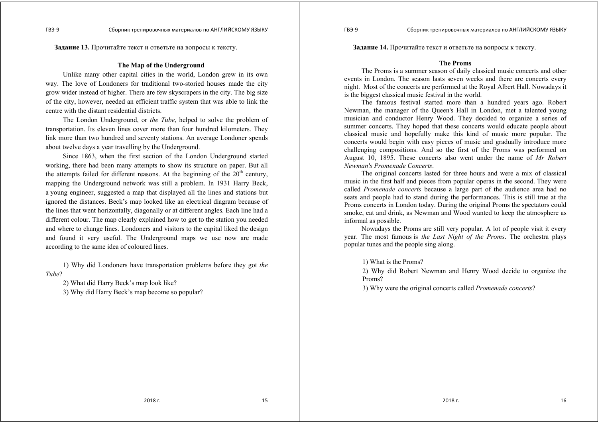**Задание 13.** Прочитайте текст <sup>и</sup> ответьте на вопросы <sup>к</sup> тексту.

## **The Map of the Underground**

Unlike many other capital cities in the world, London grew in its own way. The love of Londoners for traditional two-storied houses made the city grow wider instead of higher. There are few skyscrapers in the city. The big size of the city, however, needed an efficient traffic system that was able to link the centre with the distant residential districts.

The London Underground, or *the Tube*, helped to solve the problem of transportation. Its eleven lines cover more than four hundred kilometers. They link more than two hundred and seventy stations. An average Londoner spends about twelve days a year travelling by the Underground.

Since 1863, when the first section of the London Underground started working, there had been many attempts to show its structure on paper. But all the attempts failed for different reasons. At the beginning of the  $20<sup>th</sup>$  century, mapping the Underground network was still a problem. In 1931 Harry Beck, a young engineer, suggested a map that displayed all the lines and stations but ignored the distances. Beck's map looked like an electrical diagram because of the lines that went horizontally, diagonally or at different angles. Each line had a different colour. The map clearly explained how to get to the station you needed and where to change lines. Londoners and visitors to the capital liked the design and found it very useful. The Underground maps we use now are made according to the same idea of coloured lines.

1) Why did Londoners have transportation problems before they got *the Tube*?

2) What did Harry Beck's map look like?

3) Why did Harry Beck's map become so popular?

**Задание 14.** Прочитайте текст <sup>и</sup> ответьте на вопросы <sup>к</sup> тексту.

#### **The Proms**

The Proms is a summer season of daily classical music concerts and other events in London. The season lasts seven weeks and there are concerts every night. Most of the concerts are performed at the Royal Albert Hall. Nowadays it is the biggest classical music festival in the world.

The famous festival started more than a hundred years ago. Robert Newman, the manager of the Queen's Hall in London, met a talented young musician and conductor Henry Wood. They decided to organize a series of summer concerts. They hoped that these concerts would educate people about classical music and hopefully make this kind of music more popular. The concerts would begin with easy pieces of music and gradually introduce more challenging compositions. And so the first of the Proms was performed on August 10, 1895. These concerts also went under the name of *Mr Robert Newman's Promenade Concerts*.

The original concerts lasted for three hours and were a mix of classical music in the first half and pieces from popular operas in the second. They were called *Promenade concerts* because a large part of the audience area had no seats and people had to stand during the performances. This is still true at the Proms concerts in London today. During the original Proms the spectators could smoke, eat and drink, as Newman and Wood wanted to keep the atmosphere as informal as possible.

Nowadays the Proms are still very popular. A lot of people visit it every year. The most famous is *the Last Night of the Proms*. The orchestra plays popular tunes and the people sing along.

1) What is the Proms?

2) Why did Robert Newman and Henry Wood decide to organize the Proms?

3) Why were the original concerts called *Promenade concerts*?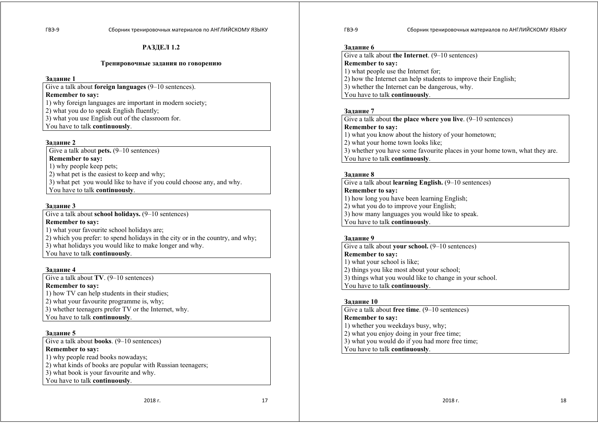## **РАЗДЕЛ 1.2**

#### **Тренировочные задания по говорению**

#### **Задание 1**

Give a talk about **foreign languages** (9–10 sentences).

# **Remember to say:**

1) why foreign languages are important in modern society;

2) what you do to speak English fluently;

3) what you use English out of the classroom for.

You have to talk **continuously**.

## **Задание 2**

Give a talk about **pets.**  $(9-10$  sentences)

**Remember to say:**

1) why people keep pets;

2) what pet is the easiest to keep and why;

3) what pet you would like to have if you could choose any, and why. You have to talk **continuously**.

## **Задание 3**

Give a talk about **school holidays.** (9–10 sentences) **Remember to say:** 

1) what your favourite school holidays are;

2) which you prefer: to spend holidays in the city or in the country, and why;

3) what holidays you would like to make longer and why.

You have to talk **continuously**.

## **Задание 4**

Give a talk about **TV**. (9–10 sentences)

**Remember to say:** 

1) how TV can help students in their studies;

2) what your favourite programme is, why;

3) whether teenagers prefer TV or the Internet, why.

You have to talk **continuously**.

## **Задание 5**

Give a talk about **books**. (9–10 sentences) **Remember to say:** 1) why people read books nowadays; 2) what kinds of books are popular with Russian teenagers; 3) what book is your favourite and why. You have to talk **continuously**.

2018 г. 17

#### ГВЭ-9 Сборник тренировочных материалов по АНГЛИЙСКОМУ ЯЗЫКУ

#### **Задание 6**

Give a talk about **the Internet**. (9–10 sentences) **Remember to say:** 1) what people use the Internet for; 2) how the Internet can help students to improve their English; 3) whether the Internet can be dangerous, why. You have to talk **continuously**.

## **Задание 7**

Give a talk about **the place where you live**. (9–10 sentences) **Remember to say:** 1) what you know about the history of your hometown; 2) what your home town looks like; 3) whether you have some favourite places in your home town, what they are. You have to talk **continuously**.

## **Задание 8**

Give a talk about **learning English.** (9–10 sentences) **Remember to say:**  1) how long you have been learning English; 2) what you do to improve your English; 3) how many languages you would like to speak. You have to talk **continuously**.

## **Задание 9**

Give a talk about **your school.** (9–10 sentences) **Remember to say:** 1) what your school is like; 2) things you like most about your school; 3) things what you would like to change in your school. You have to talk **continuously**.

## **Задание 10**

Give a talk about **free time**. (9–10 sentences) **Remember to say:** 1) whether you weekdays busy, why; 2) what you enjoy doing in your free time; 3) what you would do if you had more free time; You have to talk **continuously**.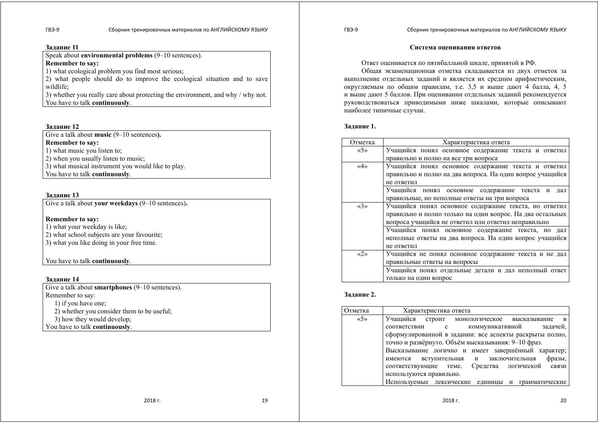#### **Задание 11**

Speak about **environmental problems** (9–10 sentences). **Remember to say:** 

1) what ecological problem you find most serious;

2) what people should do to improve the ecological situation and to save wildlife;

3) whether you really care about protecting the environment, and why / why not. You have to talk **continuously**.

## **Задание 12**

Give a talk about **music** (9–10 sentences**).** 

**Remember to say:**

1) what music you listen to;

2) when you usually listen to music;

3) what musical instrument you would like to play.

You have to talk **continuously**.

## **Задание 13**

Give a talk about **your weekdays** (9–10 sentences)**.** 

## **Remember to say:**

1) what your weekday is like;

2) what school subjects are your favourite:

3) what you like doing in your free time.

## You have to talk **continuously**.

## **Задание 14**

Give a talk about **smartphones** (9–10 sentences). Remember to say: 1) if you have one; 2) whether you consider them to be useful; 3) how they would develop; You have to talk **continuously**.

**Система оценивания ответов**

Ответ оценивается по пятибалльной шкале, принятой <sup>в</sup> РФ.

Общая экзаменационная отметка складывается из двух отметок за выполнение отдельных заданий <sup>и</sup> является их средним арифметическим, округляемым по общим правилам, т.<sup>е</sup>. 3,5 <sup>и</sup> выше дают 4 балла, 4, 5 <sup>и</sup> выше дают 5 баллов. При оценивании отдельных заданий рекомендуется руководствоваться приводимыми ниже шкалами, которые описывают наиболее типичные случаи.

## **Задание 1.**

| Отметка                             | Характеристика ответа                                     |
|-------------------------------------|-----------------------------------------------------------|
| $\langle \langle 5 \rangle \rangle$ | Учащийся понял основное содержание текста и ответил       |
|                                     | правильно и полно на все три вопроса                      |
| $\langle 4 \rangle$                 | Учащийся понял основное содержание текста и ответил       |
|                                     | правильно и полно на два вопроса. На один вопрос учащийся |
|                                     | не ответил                                                |
|                                     | Учащийся понял основное содержание текста и<br>дал        |
|                                     | правильные, но неполные ответы на три вопроса             |
| $\langle$ $\langle 3 \rangle$       | Учащийся понял основное содержание текста, но ответил     |
|                                     | правильно и полно только на один вопрос. На два остальных |
|                                     | вопроса учащийся не ответил или ответил неправильно       |
|                                     | Учащийся понял основное содержание текста, но дал         |
|                                     | неполные ответы на два вопроса. На один вопрос учащийся   |
|                                     | не ответил                                                |
| $\langle \langle 2 \rangle \rangle$ | Учащийся не понял основное содержание текста и не дал     |
|                                     | правильные ответы на вопросы                              |
|                                     | Учащийся понял отдельные детали и дал неполный ответ      |
|                                     | только на один вопрос                                     |

## **Задание 2.**

| Отметка                             | Характеристика ответа                                            |
|-------------------------------------|------------------------------------------------------------------|
| $\langle \langle 5 \rangle \rangle$ | Учащийся<br>строит монологическое высказывание<br>$\overline{B}$ |
|                                     | задачей,<br>коммуникативной<br>соответствии<br>$\mathbf{c}$      |
|                                     | сформулированной в задании: все аспекты раскрыты полно,          |
|                                     | точно и развёрнуто. Объём высказывания: 9-10 фраз.               |
|                                     | Высказывание логично и имеет завершённый характер;               |
|                                     | фразы,<br>вступительная и заключительная<br>имеются              |
|                                     | Средства логической связи<br>соответствующие теме.               |
|                                     | используются правильно.                                          |
|                                     | Используемые лексические<br>елиницы и<br>грамматические          |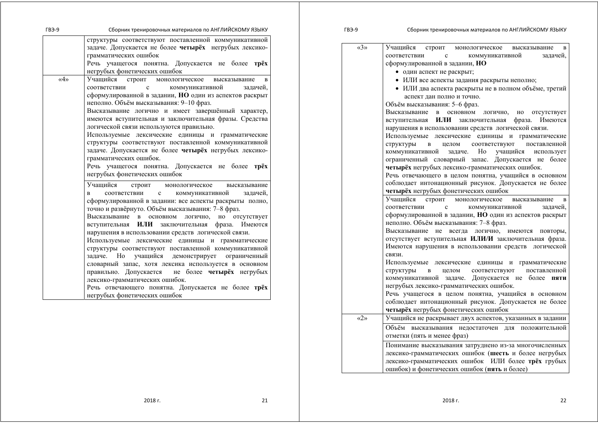| ГВЭ-9                                                                                     | Сборник тренировочных материалов по АНГЛИЙСКОМУ ЯЗЫКУ                                                                                                                                                                                                                                                                                                                                                                                                                                                                                                                                                                                                                                                                                                                                                                                                                                                                                                                                                                                                                                                                                                                                                                                                                                                                                                                                                   | ГВЭ-9               | Сборник тренировочных материалов по АНГЛИЙСКОМУ ЯЗЫКУ                                                                                                                                                                                                                                                                                                                                                                                                                                                                                                                                                                                                                                                                                                                                                                                                                                                                                                                                                                                                                                                                                                                                                                                                                                                                                                                                                                                                                                                                                                                                              |
|-------------------------------------------------------------------------------------------|---------------------------------------------------------------------------------------------------------------------------------------------------------------------------------------------------------------------------------------------------------------------------------------------------------------------------------------------------------------------------------------------------------------------------------------------------------------------------------------------------------------------------------------------------------------------------------------------------------------------------------------------------------------------------------------------------------------------------------------------------------------------------------------------------------------------------------------------------------------------------------------------------------------------------------------------------------------------------------------------------------------------------------------------------------------------------------------------------------------------------------------------------------------------------------------------------------------------------------------------------------------------------------------------------------------------------------------------------------------------------------------------------------|---------------------|----------------------------------------------------------------------------------------------------------------------------------------------------------------------------------------------------------------------------------------------------------------------------------------------------------------------------------------------------------------------------------------------------------------------------------------------------------------------------------------------------------------------------------------------------------------------------------------------------------------------------------------------------------------------------------------------------------------------------------------------------------------------------------------------------------------------------------------------------------------------------------------------------------------------------------------------------------------------------------------------------------------------------------------------------------------------------------------------------------------------------------------------------------------------------------------------------------------------------------------------------------------------------------------------------------------------------------------------------------------------------------------------------------------------------------------------------------------------------------------------------------------------------------------------------------------------------------------------------|
| грамматических ошибок                                                                     | структуры соответствуют поставленной коммуникативной<br>задаче. Допускается не более четырёх негрубых лексико-<br>Речь учащегося понятна. Допускается не более трёх<br>негрубых фонетических ошибок                                                                                                                                                                                                                                                                                                                                                                                                                                                                                                                                                                                                                                                                                                                                                                                                                                                                                                                                                                                                                                                                                                                                                                                                     | $\langle 3 \rangle$ | Учащийся строит монологическое<br>высказывание в<br>соответствии<br>коммуникативной<br>$\mathbf c$<br>задачей,<br>сформулированной в задании, НО<br>• один аспект не раскрыт;                                                                                                                                                                                                                                                                                                                                                                                                                                                                                                                                                                                                                                                                                                                                                                                                                                                                                                                                                                                                                                                                                                                                                                                                                                                                                                                                                                                                                      |
| $\langle 4 \rangle$<br>соответствии<br>грамматических ошибок.<br>Учашийся<br>соответствии | Учащийся строит монологическое<br>высказывание<br>коммуникативной<br>$\mathbf c$<br>задачей,<br>сформулированной в задании, НО один из аспектов раскрыт<br>неполно. Объём высказывания: 9-10 фраз.<br>Высказывание логично и имеет завершённый характер,<br>имеются вступительная и заключительная фразы. Средства<br>логической связи используются правильно.<br>Используемые лексические единицы и грамматические<br>структуры соответствуют поставленной коммуникативной<br>задаче. Допускается не более четырёх негрубых лексико-<br>Речь учащегося понятна. Допускается не более трёх<br>негрубых фонетических ошибок<br>строит<br>монологическое<br>высказывание<br>коммуникативной<br>задачей,<br>$\mathbf{c}$<br>сформулированной в задании: все аспекты раскрыты полно,<br>точно и развёрнуто. Объём высказывания: 7-8 фраз.<br>Высказывание в основном логично, но отсутствует<br>вступительная ИЛИ заключительная фраза. Имеются<br>нарушения в использовании средств логической связи.<br>Используемые лексические единицы и грамматические<br>структуры соответствуют поставленной коммуникативной<br>задаче. Но учащийся демонстрирует ограниченный<br>словарный запас, хотя лексика используется в основном<br>правильно. Допускается не более четырёх негрубых<br>лексико-грамматических ошибок.<br>Речь отвечающего понятна. Допускается не более трёх<br>негрубых фонетических ошибок | $\langle 2 \rangle$ | • ИЛИ все аспекты задания раскрыты неполно;<br>• ИЛИ два аспекта раскрыты не в полном объёме, третий<br>аспект дан полно и точно.<br>Объём высказывания: 5-6 фраз.<br>Высказывание в основном логично, но отсутствует<br>вступительная ИЛИ заключительная фраза. Имеются<br>нарушения в использовании средств логической связи.<br>Используемые лексические единицы и грамматические<br>соответствуют поставленной<br>структуры в целом<br>коммуникативной задаче. Но учащийся использует<br>ограниченный словарный запас. Допускается не более<br>четырёх негрубых лексико-грамматических ошибок.<br>Речь отвечающего в целом понятна, учащийся в основном<br>соблюдает интонационный рисунок. Допускается не более<br>четырёх негрубых фонетических ошибок<br>Учащийся строит монологическое<br>высказывание в<br>коммуникативной<br>соответствии<br>$\mathbf c$<br>задачей,<br>сформулированной в задании, НО один из аспектов раскрыт<br>неполно. Объём высказывания: 7-8 фраз.<br>Высказывание не всегда логично, имеются повторы,<br>отсутствует вступительная ИЛИ/И заключительная фраза.<br>Имеются нарушения в использовании средств логической<br>связи.<br>Используемые лексические единицы и грамматические<br>соответствуют<br>поставленной<br>структуры в целом<br>коммуникативной задаче. Допускается не более пяти<br>негрубых лексико-грамматических ошибок.<br>Речь учащегося в целом понятна, учащийся в основном<br>соблюдает интонационный рисунок. Допускается не более<br>четырёх негрубых фонетических ошибок<br>Учащийся не раскрывает двух аспектов, указанных в задании |
|                                                                                           |                                                                                                                                                                                                                                                                                                                                                                                                                                                                                                                                                                                                                                                                                                                                                                                                                                                                                                                                                                                                                                                                                                                                                                                                                                                                                                                                                                                                         |                     | Объём высказывания недостаточен для положительной<br>отметки (пять и менее фраз)<br>$\mathbf{H}$ and $\mathbf{H}$ and $\mathbf{H}$                                                                                                                                                                                                                                                                                                                                                                                                                                                                                                                                                                                                                                                                                                                                                                                                                                                                                                                                                                                                                                                                                                                                                                                                                                                                                                                                                                                                                                                                 |

Понимание высказывания затруднено из-за многочисленных лексико-грамматических ошибок (**шесть** <sup>и</sup> более негрубых лексико-грамматических ошибок ИЛИ более **трёх** грубых ошибок) <sup>и</sup> фонетических ошибок (**пять** <sup>и</sup> более)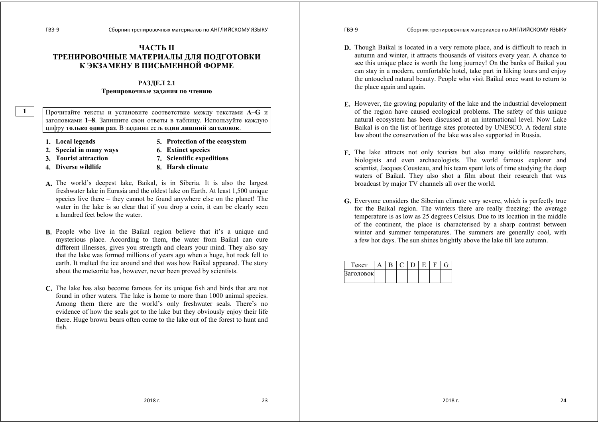# **ЧАСТЬ II ТРЕНИРОВОЧНЫЕ МАТЕРИАЛЫ ДЛЯ ПОДГОТОВКИ К ЭКЗАМЕНУ В ПИСЬМЕННОЙ ФОРМЕ**

## **РАЗДЕЛ 2.1 Тренировочные задания по чтению**

Прочитайте тексты <sup>и</sup> установите соответствие между текстами **А–G** <sup>и</sup> заголовками **1–8**. Запишите свои ответы <sup>в</sup> таблицу. Используйте каждую цифру **только один раз**. В задании есть **один лишний заголовок**.

- **1. Local legends 5. Protection of the ecosystem**
	-
- **2. Special in many ways 6. Extinct species**
- **3. Tourist аttraction 7. Scientific expeditions**
- 
- 
- 
- **4. Diverse wildlife 8. Harsh climate**
- **A.** The world's deepest lake, Baikal, is in Siberia. It is also the largest freshwater lake in Eurasia and the oldest lake on Earth. At least 1,500 unique species live there – they cannot be found anywhere else on the planet! The water in the lake is so clear that if you drop a coin, it can be clearly seen a hundred feet below the water.
- **B.** People who live in the Baikal region believe that it's a unique and mysterious place. According to them, the water from Baikal can cure different illnesses, gives you strength and clears your mind. They also say that the lake was formed millions of years ago when a huge, hot rock fell to earth. It melted the ice around and that was how Baikal appeared. The story about the meteorite has, however, never been proved by scientists.
- **C.** The lake has also become famous for its unique fish and birds that are not found in other waters. The lake is home to more than 1000 animal species. Among them there are the world's only freshwater seals. There's no evidence of how the seals got to the lake but they obviously enjoy their life there. Huge brown bears often come to the lake out of the forest to hunt and fish.

- **D.** Though Baikal is located in a very remote place, and is difficult to reach in autumn and winter, it attracts thousands of visitors every year. A chance to see this unique place is worth the long journey! On the banks of Baikal you can stay in a modern, comfortable hotel, take part in hiking tours and enjoy the untouched natural beauty. People who visit Baikal once want to return to the place again and again.
- **E.** However, the growing popularity of the lake and the industrial development of the region have caused ecological problems. The safety of this unique natural ecosystem has been discussed at an international level. Now Lake Baikal is on the list of heritage sites protected by UNESCO. A federal state law about the conservation of the lake was also supported in Russia.
- **F.** The lake attracts not only tourists but also many wildlife researchers, biologists and even archaeologists. The world famous explorer and scientist, Jacques Cousteau, and his team spent lots of time studying the deep waters of Baikal. They also shot a film about their research that was broadcast by major TV channels all over the world.
- **G.** Everyone considers the Siberian climate very severe, which is perfectly true for the Baikal region. The winters there are really freezing: the average temperature is as low as 25 degrees Celsius. Due to its location in the middle of the continent, the place is characterised by a sharp contrast between winter and summer temperatures. The summers are generally cool, with a few hot days. The sun shines brightly above the lake till late autumn.

| екст      |  |  |  |  |
|-----------|--|--|--|--|
| Заголовок |  |  |  |  |
|           |  |  |  |  |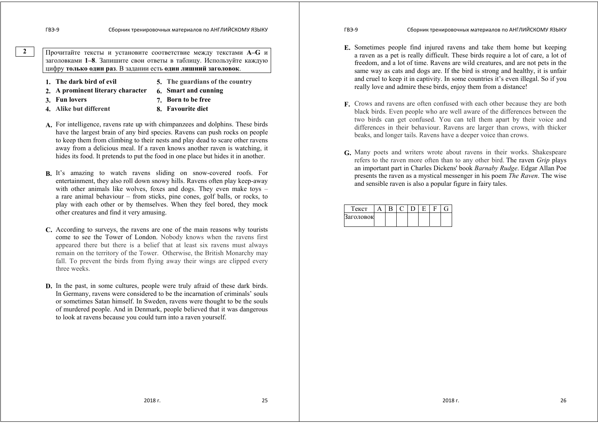Прочитайте тексты <sup>и</sup> установите соответствие между текстами **А–G** <sup>и</sup> заголовками **1–8**. Запишите свои ответы <sup>в</sup> таблицу. Используйте каждую цифру **только один раз**. В задании есть **один лишний заголовок**.

- 
- **1. The dark bird of evil 5. The guardians of the country**
- **2. A prominent literary character 6. Smart and cunning**

- 
- **3. Fun lovers 7. Born to be free**
- **4. Alike but different 8. Favourite diet**
- 
- **A.** For intelligence, ravens rate up with chimpanzees and dolphins. These birds have the largest brain of any bird species. Ravens can push rocks on people to keep them from climbing to their nests and play dead to scare other ravens away from a delicious meal. If a raven knows another raven is watching, it hides its food. It pretends to put the food in one place but hides it in another.
- **B.** It's amazing to watch ravens sliding on snow-covered roofs. For entertainment, they also roll down snowy hills. Ravens often play keep-away with other animals like wolves, foxes and dogs. They even make toys – a rare animal behaviour – from sticks, pine cones, golf balls, or rocks, to play with each other or by themselves. When they feel bored, they mock other creatures and find it very amusing.
- **C.** According to surveys, the ravens are one of the main reasons why tourists come to see the Tower of London. Nobody knows when the ravens first appeared there but there is a belief that at least six ravens must always remain on the territory of the Tower. Otherwise, the British Monarchy may fall. To prevent the birds from flying away their wings are clipped every three weeks.
- **D.** In the past, in some cultures, people were truly afraid of these dark birds. In Germany, ravens were considered to be the incarnation of criminals' souls or sometimes Satan himself. In Sweden, ravens were thought to be the souls of murdered people. And in Denmark, people believed that it was dangerous to look at ravens because you could turn into a raven yourself.
- ГВЭ-9 Сборник тренировочных материалов по АНГЛИЙСКОМУ ЯЗЫКУ
- **E.** Sometimes people find injured ravens and take them home but keeping a raven as a pet is really difficult. These birds require a lot of care, a lot of freedom, and a lot of time. Ravens are wild creatures, and are not pets in the same way as cats and dogs are. If the bird is strong and healthy, it is unfair and cruel to keep it in captivity. In some countries it's even illegal. So if you really love and admire these birds, enjoy them from a distance!
- **F.** Crows and ravens are often confused with each other because they are both black birds. Even people who are well aware of the differences between the two birds can get confused. You can tell them apart by their voice and differences in their behaviour. Ravens are larger than crows, with thicker beaks, and longer tails. Ravens have a deeper voice than crows.
- **G.** Many poets and writers wrote about ravens in their works. Shakespeare refers to the raven more often than to any other bird. The raven *Grip* plays an important part in Charles Dickens' book *Barnaby Rudge*. Edgar Allan Poe presents the raven as a mystical messenger in his poem *The Raven*. The wise and sensible raven is also a popular figure in fairy tales.

| екст      |  |  |  |  |
|-----------|--|--|--|--|
| Заголовок |  |  |  |  |
|           |  |  |  |  |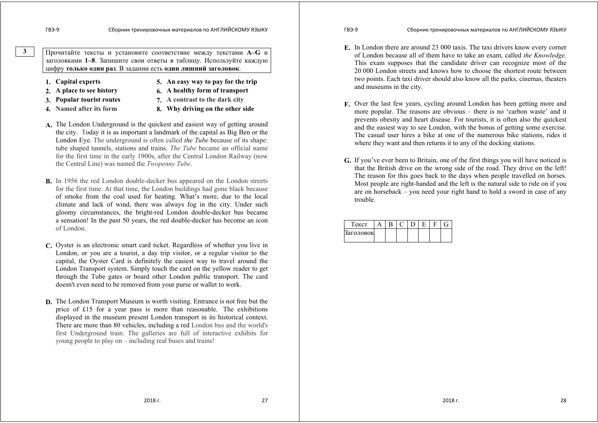Прочитайте тексты <sup>и</sup> установите соответствие между текстами **А–G** <sup>и</sup> заголовками **1–8**. Запишите свои ответы <sup>в</sup> таблицу. Используйте каждую цифру **только один раз**. В задании есть **один лишний заголовок**.

- 
- **1. Capital experts 5. An easy way to pay for the trip**
- **2. A place to see history 6. A healthy form of transport**
- **3. Popular tourist routes 7. A contrast to the dark city**
- 
- **4. Named after its form 8. Why driving on the other side**
- **A.** The London Underground is the quickest and easiest way of getting around the city. Today it is as important a landmark of the capital as Big Ben or the London Eye. The underground is often called *the Tube* because of its shape: tube shaped tunnels, stations and trains. *The Tube* became an official name for the first time in the early 1900s, after the Central London Railway (now the Central Line) was named the *Twopenny Tube*.
- **B.** In 1956 the red London double-decker bus appeared on the London streets for the first time. At that time, the London buildings had gone black because of smoke from the coal used for heating. What's more, due to the local climate and lack of wind, there was always fog in the city. Under such gloomy circumstances, the bright-red London double-decker bus became a sensation! In the past 50 years, the red double-decker has become an icon of London.
- **C.** Oyster is an electronic smart card ticket. Regardless of whether you live in London, or you are a tourist, a day trip visitor, or a regular visitor to the capital, the Oyster Card is definitely the easiest way to travel around the London Transport system. Simply touch the card on the yellow reader to get through the Tube gates or board other London public transport. The card doesn't even need to be removed from your purse or wallet to work.
- **D.** The London Transport Museum is worth visiting. Entrance is not free but the price of £15 for a year pass is more than reasonable. The exhibitions displayed in the museum present London transport in its historical context. There are more than 80 vehicles, including a red London bus and the world's first Underground train. The galleries are full of interactive exhibits for young people to play on – including real buses and trains!

ГВЭ-9 Сборник тренировочных материалов по АНГЛИЙСКОМУ ЯЗЫКУ

- **E.** In London there are around 23 000 taxis. The taxi drivers know every corner of London because all of them have to take an exam, called *the Knowledge.*  This exam supposes that the candidate driver can recognize most of the 20 000 London streets and knows how to choose the shortest route between two points. Each taxi driver should also know all the parks, cinemas, theaters and museums in the city.
- **F.** Over the last few years, cycling around London has been getting more and more popular. The reasons are obvious – there is no 'carbon waste' and it prevents obesity and heart disease. For tourists, it is often also the quickest and the easiest way to see London, with the bonus of getting some exercise. The casual user hires a bike at one of the numerous bike stations, rides it where they want and then returns it to any of the docking stations.
- **G.** If you've ever been to Britain, one of the first things you will have noticed is that the British drive on the wrong side of the road. They drive on the left! The reason for this goes back to the days when people travelled on horses. Most people are right-handed and the left is the natural side to ride on if you are on horseback – you need your right hand to hold a sword in case of any trouble.

| екст      |  |  |  |  |
|-----------|--|--|--|--|
| Заголовок |  |  |  |  |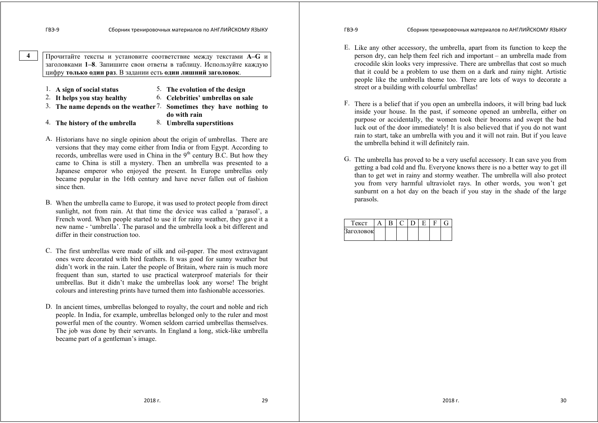Прочитайте тексты <sup>и</sup> установите соответствие между текстами **А–G** <sup>и</sup> заголовками **1–8**. Запишите свои ответы <sup>в</sup> таблицу. Используйте каждую цифру **только один раз**. В задании есть **один лишний заголовок**.

|  | 1. A sign of social status |  | The evolution of the design |  |
|--|----------------------------|--|-----------------------------|--|
|--|----------------------------|--|-----------------------------|--|

- 2. **It helps you stay healthy** 6. **Celebrities' umbrellas on sale**
- 3. **The name depends on the weather**7. **Sometimes they have nothing to**

- **do with rain**
- 4. **The history of the umbrella** 8. **Umbrella superstitions**
- 
- A. Historians have no single opinion about the origin of umbrellas. There are versions that they may come either from India or from Egypt. According to records, umbrellas were used in China in the  $9<sup>th</sup>$  century B.C. But how they came to China is still a mystery. Then an umbrella was presented to a Japanese emperor who enjoyed the present. In Europe umbrellas only became popular in the 16th century and have never fallen out of fashion since then.
- B. When the umbrella came to Europe, it was used to protect people from direct sunlight, not from rain. At that time the device was called a 'parasol', a French word. When people started to use it for rainy weather, they gave it a new name - 'umbrella'. The parasol and the umbrella look a bit different and differ in their construction too.
- C. The first umbrellas were made of silk and oil-paper. The most extravagant ones were decorated with bird feathers. It was good for sunny weather but didn't work in the rain. Later the people of Britain, where rain is much more frequent than sun, started to use practical waterproof materials for their umbrellas. But it didn't make the umbrellas look any worse! The bright colours and interesting prints have turned them into fashionable accessories.
- D. In ancient times, umbrellas belonged to royalty, the court and noble and rich people. In India, for example, umbrellas belonged only to the ruler and most powerful men of the country. Women seldom carried umbrellas themselves. The job was done by their servants. In England a long, stick-like umbrella became part of a gentleman's image.

- E. Like any other accessory, the umbrella, apart from its function to keep the person dry, can help them feel rich and important – an umbrella made from crocodile skin looks very impressive. There are umbrellas that cost so much that it could be a problem to use them on a dark and rainy night. Artistic people like the umbrella theme too. There are lots of ways to decorate a street or a building with colourful umbrellas!
- F. There is a belief that if you open an umbrella indoors, it will bring bad luck inside your house. In the past, if someone opened an umbrella, either on purpose or accidentally, the women took their brooms and swept the bad luck out of the door immediately! It is also believed that if you do not want rain to start, take an umbrella with you and it will not rain. But if you leave the umbrella behind it will definitely rain.
- G. The umbrella has proved to be a very useful accessory. It can save you from getting a bad cold and flu. Everyone knows there is no a better way to get ill than to get wet in rainy and stormy weather. The umbrella will also protect you from very harmful ultraviolet rays. In other words, you won't get sunburnt on a hot day on the beach if you stay in the shade of the large parasols.

| Гекст     |  |  |  |  |
|-----------|--|--|--|--|
| Заголовок |  |  |  |  |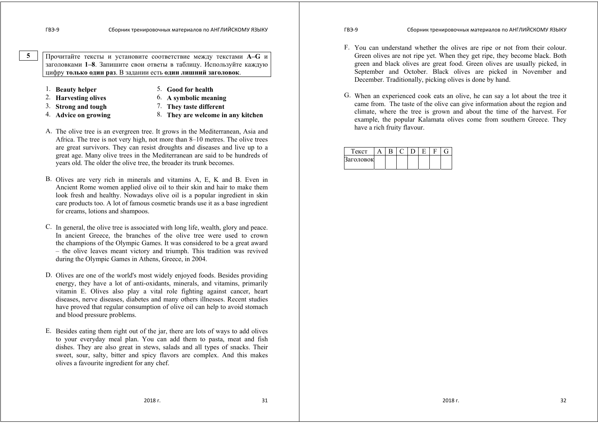Прочитайте тексты <sup>и</sup> установите соответствие между текстами **А–G** <sup>и</sup> заголовками **1–8**. Запишите свои ответы <sup>в</sup> таблицу. Используйте каждую цифру **только один раз**. В задании есть **один лишний заголовок**.

- 1. **Beauty helper** 5. **Good for health**
	-
- 
- 
- 
- 
- 2. **Harvesting olives** 6. **A symbolic meaning**<br>3. **Strong and tough** 7. **They taste different** 3. **Strong and tough** 7. **They taste different**
- 4. **Advice on growing** 8. **They are welcome in any kitchen**
- A. The olive tree is an evergreen tree. It grows in the Mediterranean, Asia and Africa. The tree is not very high, not more than 8–10 metres. The olive trees are great survivors. They can resist droughts and diseases and live up to a great age. Many olive trees in the Mediterranean are said to be hundreds of years old. The older the olive tree, the broader its trunk becomes.
- B. Olives are very rich in minerals and vitamins A, E, K and B. Even in Ancient Rome women applied olive oil to their skin and hair to make them look fresh and healthy. Nowadays olive oil is a popular ingredient in skin care products too. A lot of famous cosmetic brands use it as a base ingredient for creams, lotions and shampoos.
- C. In general, the olive tree is associated with long life, wealth, glory and peace. In ancient Greece, the branches of the olive tree were used to crown the champions of the Olympic Games. It was considered to be a great award – the olive leaves meant victory and triumph. This tradition was revived during the Olympic Games in Athens, Greece, in 2004.
- D. Olives are one of the world's most widely enjoyed foods. Besides providing energy, they have a lot of anti-oxidants, minerals, and vitamins, primarily vitamin E. Olives also play a vital role fighting against cancer, heart diseases, nerve diseases, diabetes and many others illnesses. Recent studies have proved that regular consumption of olive oil can help to avoid stomach and blood pressure problems.
- E. Besides eating them right out of the jar, there are lots of ways to add olives to your everyday meal plan. You can add them to pasta, meat and fish dishes. They are also great in stews, salads and all types of snacks. Their sweet, sour, salty, bitter and spicy flavors are complex. And this makes olives a favourite ingredient for any chef.

- F. You can understand whether the olives are ripe or not from their colour. Green olives are not ripe yet. When they get ripe, they become black. Both green and black olives are great food. Green olives are usually picked, in September and October. Black olives are picked in November and December. Traditionally, picking olives is done by hand.
- G. When an experienced cook eats an olive, he can say a lot about the tree it came from. The taste of the olive can give information about the region and climate, where the tree is grown and about the time of the harvest. For example, the popular Kalamata olives come from southern Greece. They have a rich fruity flavour.

| екст      |  |  |  |  |
|-----------|--|--|--|--|
| заголовок |  |  |  |  |
|           |  |  |  |  |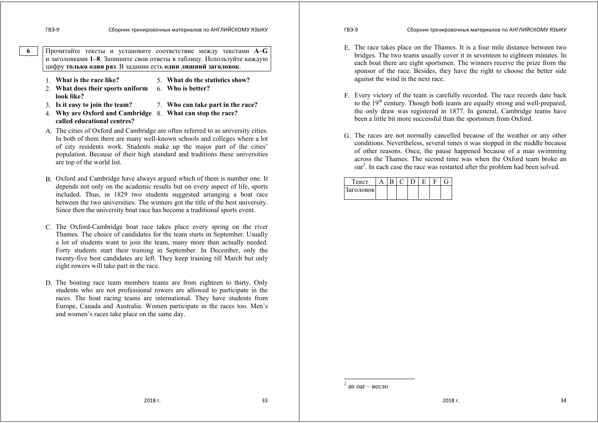Прочитайте тексты <sup>и</sup> установите соответствие между текстами **А–G** <sup>и</sup> заголовками **1–8**. Запишите свои ответы <sup>в</sup> таблицу. Используйте каждую цифру **только один раз**. В задании есть **один лишний заголовок**.

- 1. **What is the race like?** 5. **What do the statistics show?**
- 2. **What does their sports uniform**  6. **Who is better? look like?**
- 3. **Is it easy to join the team?** 7. **Who can take part in the race?**
- 4. **Why are Oxford and Cambridge**  8. **What can stop the race? called educational centres?**
- A. The cities of Oxford and Cambridge are often referred to as university cities. In both of them there are many well-known schools and colleges where a lot of city residents work. Students make up the major part of the cities' population. Because of their high standard and traditions these universities are top of the world list.
- B. Oxford and Cambridge have always argued which of them is number one. It depends not only on the academic results but on every aspect of life, sports included. Thus, in 1829 two students suggested arranging a boat race between the two universities. The winners got the title of the best university. Since then the university boat race has become a traditional sports event.
- C. The Oxford-Cambridge boat race takes place every spring on the river Thames. The choice of candidates for the team starts in September. Usually a lot of students want to join the team, many more than actually needed. Forty students start their training in September. In December, only the twenty-five best candidates are left. They keep training till March but only eight rowers will take part in the race.
- D. The boating race team members teams are from eighteen to thirty. Only students who are not professional rowers are allowed to participate in the races. The boat racing teams are international. They have students from Europe, Canada and Australia. Women participate in the races too. Men's and women's races take place on the same day.

- E. The race takes place on the Thames. It is a four mile distance between two bridges. The two teams usually cover it in seventeen to eighteen minutes. In each boat there are eight sportsmen. The winners receive the prize from the sponsor of the race. Besides, they have the right to choose the better side against the wind in the next race.
- F. Every victory of the team is carefully recorded. The race records date back to the  $19<sup>th</sup>$  century. Though both teams are equally strong and well-prepared, the only draw was registered in 1877. In general, Cambridge teams have been a little bit more successful than the sportsmen from Oxford.
- G. The races are not normally cancelled because of the weather or any other conditions. Nevertheless, several times it was stopped in the middle because of other reasons. Once, the pause happened because of a man swimming across the Thames. The second time was when the Oxford team broke an oar<sup>2</sup>. In each case the race was restarted after the problem had been solved.

| Гекст     |  |  |  |  |
|-----------|--|--|--|--|
| Заголовок |  |  |  |  |

<sup>&</sup>lt;sup>2</sup> an oar – весло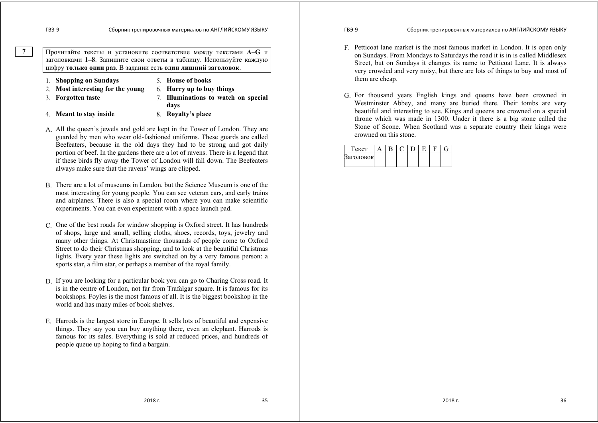Прочитайте тексты <sup>и</sup> установите соответствие между текстами **А–G** <sup>и</sup> заголовками **1–8**. Запишите свои ответы <sup>в</sup> таблицу. Используйте каждую цифру **только один раз**. В задании есть **один лишний заголовок**.

- 1. **Shopping on Sundays** 5. **House of books**
	-
- 2. **Most interesting for the young** 6. **Hurry up to buy things**
	-
- 
- 
- **days**
- 
- 3. **Forgotten taste** 7. **Illuminations to watch on special**  4. **Meant to stay inside** 8. **Royalty's place**
- A. All the queen's jewels and gold are kept in the Tower of London. They are guarded by men who wear old-fashioned uniforms. These guards are called Beefeaters, because in the old days they had to be strong and got daily portion of beef. In the gardens there are a lot of ravens. There is a legend that if these birds fly away the Tower of London will fall down. The Beefeaters always make sure that the ravens' wings are clipped.
- B. There are a lot of museums in London, but the Science Museum is one of the most interesting for young people. You can see veteran cars, and early trains and airplanes. There is also a special room where you can make scientific experiments. You can even experiment with a space launch pad.
- C. One of the best roads for window shopping is Oxford street. It has hundreds of shops, large and small, selling cloths, shoes, records, toys, jewelry and many other things. At Christmastime thousands of people come to Oxford Street to do their Christmas shopping, and to look at the beautiful Christmas lights. Every year these lights are switched on by a very famous person: a sports star, a film star, or perhaps a member of the royal family.
- D. If you are looking for a particular book you can go to Charing Cross road. It is in the centre of London, not far from Trafalgar square. It is famous for its bookshops. Foyles is the most famous of all. It is the biggest bookshop in the world and has many miles of book shelves.
- E. Harrods is the largest store in Europe. It sells lots of beautiful and expensive things. They say you can buy anything there, even an elephant. Harrods is famous for its sales. Everything is sold at reduced prices, and hundreds of people queue up hoping to find a bargain.

## ГВЭ-9 Сборник тренировочных материалов по АНГЛИЙСКОМУ ЯЗЫКУ

- F. Petticoat lane market is the most famous market in London. It is open only on Sundays. From Mondays to Saturdays the road it is in is called Middlesex Street, but on Sundays it changes its name to Petticoat Lane. It is always very crowded and very noisy, but there are lots of things to buy and most of them are cheap.
- G. For thousand years English kings and queens have been crowned in Westminster Abbey, and many are buried there. Their tombs are very beautiful and interesting to see. Kings and queens are crowned on a special throne which was made in 1300. Under it there is a big stone called the Stone of Scone. When Scotland was a separate country their kings were crowned on this stone.

| екст      |  |  |  |  |
|-----------|--|--|--|--|
| Заголовок |  |  |  |  |
|           |  |  |  |  |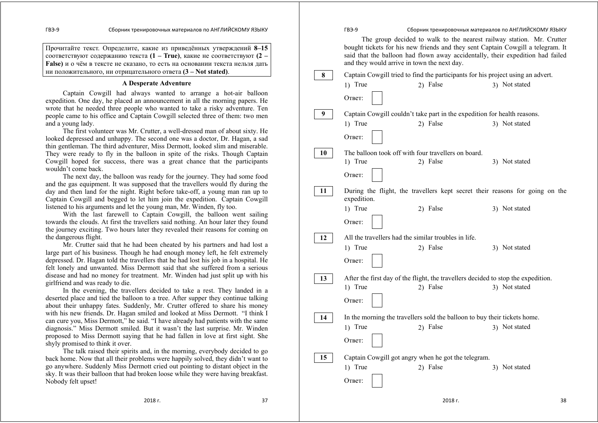Прочитайте текст. Определите, какие из приведённых утверждений **8–15** соответствуют содержанию текста **(1 – True)**, какие не соответствуют **(2 – False)** <sup>и</sup> <sup>о</sup> чём <sup>в</sup> тексте не сказано, то есть на основании текста нельзя дать ни положительного, ни отрицательного ответа **(3 – Not stated)**.

#### **A Desperate Adventure**

 Captain Cowgill had always wanted to arrange a hot-air balloon expedition. One day, he placed an announcement in all the morning papers. He wrote that he needed three people who wanted to take a risky adventure. Ten people came to his office and Captain Cowgill selected three of them: two men and a young lady.

The first volunteer was Mr. Crutter, a well-dressed man of about sixty. He looked depressed and unhappy. The second one was a doctor, Dr. Hagan, a sad thin gentleman. The third adventurer, Miss Dermott, looked slim and miserable. They were ready to fly in the balloon in spite of the risks. Though Captain Cowgill hoped for success, there was a great chance that the participants wouldn't come back.

The next day, the balloon was ready for the journey. They had some food and the gas equipment. It was supposed that the travellers would fly during the day and then land for the night. Right before take-off, a young man ran up to Captain Cowgill and begged to let him join the expedition. Captain Cowgill listened to his arguments and let the young man, Mr. Winden, fly too.

With the last farewell to Captain Cowgill, the balloon went sailing towards the clouds. At first the travellers said nothing. An hour later they found the journey exciting. Two hours later they revealed their reasons for coming on the dangerous flight.

Mr. Crutter said that he had been cheated by his partners and had lost a large part of his business. Though he had enough money left, he felt extremely depressed. Dr. Hagan told the travellers that he had lost his job in a hospital. He felt lonely and unwanted. Miss Dermott said that she suffered from a serious disease and had no money for treatment. Mr. Winden had just split up with his girlfriend and was ready to die.

In the evening, the travellers decided to take a rest. They landed in a deserted place and tied the balloon to a tree. After supper they continue talking about their unhappy fates. Suddenly, Mr. Crutter offered to share his money with his new friends. Dr. Hagan smiled and looked at Miss Dermott. "I think I can cure you, Miss Dermott," he said. "I have already had patients with the same diagnosis." Miss Dermott smiled. But it wasn't the last surprise. Mr. Winden proposed to Miss Dermott saying that he had fallen in love at first sight. She shyly promised to think it over.

The talk raised their spirits and, in the morning, everybody decided to go back home. Now that all their problems were happily solved, they didn't want to go anywhere. Suddenly Miss Dermott cried out pointing to distant object in the sky. It was their balloon that had broken loose while they were having breakfast. Nobody felt upset!

|    | ГВЭ-9                                                |                                                                                       | Сборник тренировочных материалов по АНГЛИЙСКОМУ ЯЗЫКУ                                                                                                                                                                                      |
|----|------------------------------------------------------|---------------------------------------------------------------------------------------|--------------------------------------------------------------------------------------------------------------------------------------------------------------------------------------------------------------------------------------------|
|    | and they would arrive in town the next day.          |                                                                                       | The group decided to walk to the nearest railway station. Mr. Crutter<br>bought tickets for his new friends and they sent Captain Cowgill a telegram. It<br>said that the balloon had flown away accidentally, their expedition had failed |
| 8  |                                                      | Captain Cowgill tried to find the participants for his project using an advert.       |                                                                                                                                                                                                                                            |
|    | 1) True                                              | 2) False                                                                              | 3) Not stated                                                                                                                                                                                                                              |
|    | Ответ:                                               |                                                                                       |                                                                                                                                                                                                                                            |
| 9  |                                                      | Captain Cowgill couldn't take part in the expedition for health reasons.              |                                                                                                                                                                                                                                            |
|    | 1) True                                              | 2) False                                                                              | 3) Not stated                                                                                                                                                                                                                              |
|    | Ответ:                                               |                                                                                       |                                                                                                                                                                                                                                            |
| 10 |                                                      | The balloon took off with four travellers on board.                                   |                                                                                                                                                                                                                                            |
|    | 1) True                                              | 2) False                                                                              | 3) Not stated                                                                                                                                                                                                                              |
|    | Ответ:                                               |                                                                                       |                                                                                                                                                                                                                                            |
| 11 | expedition.                                          |                                                                                       | During the flight, the travellers kept secret their reasons for going on the                                                                                                                                                               |
|    | 1) True                                              | 2) False                                                                              | 3) Not stated                                                                                                                                                                                                                              |
|    | Ответ:                                               |                                                                                       |                                                                                                                                                                                                                                            |
| 12 | All the travellers had the similar troubles in life. |                                                                                       |                                                                                                                                                                                                                                            |
|    | 1) True                                              | 2) False                                                                              | 3) Not stated                                                                                                                                                                                                                              |
|    | Ответ:                                               |                                                                                       |                                                                                                                                                                                                                                            |
| 13 |                                                      | After the first day of the flight, the travellers decided to stop the expedition.     |                                                                                                                                                                                                                                            |
|    | 1) True                                              | 2) False                                                                              | 3) Not stated                                                                                                                                                                                                                              |
|    | Ответ:                                               |                                                                                       |                                                                                                                                                                                                                                            |
|    |                                                      |                                                                                       |                                                                                                                                                                                                                                            |
| 14 | 1) True                                              | In the morning the travellers sold the balloon to buy their tickets home.<br>2) False | 3) Not stated                                                                                                                                                                                                                              |
|    |                                                      |                                                                                       |                                                                                                                                                                                                                                            |
|    | Ответ:                                               |                                                                                       |                                                                                                                                                                                                                                            |
| 15 |                                                      | Captain Cowgill got angry when he got the telegram.                                   |                                                                                                                                                                                                                                            |
|    | 1) True                                              | 2) False                                                                              | 3) Not stated                                                                                                                                                                                                                              |
|    | Ответ:                                               |                                                                                       |                                                                                                                                                                                                                                            |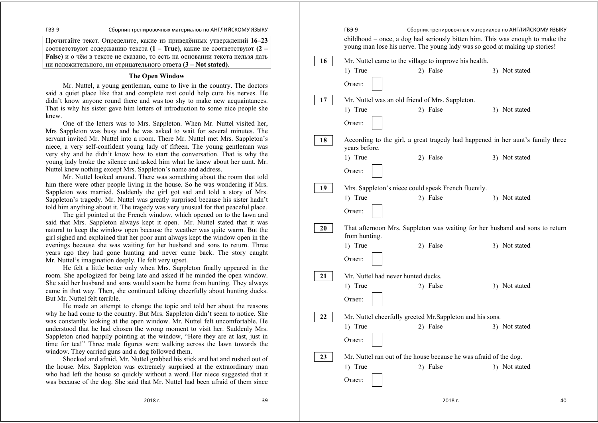Прочитайте текст. Определите, какие из приведённых утверждений **16–23** соответствуют содержанию текста **(1 – True)**, какие не соответствуют **(2 – False)** <sup>и</sup> <sup>о</sup> чём <sup>в</sup> тексте не сказано, то есть на основании текста нельзя дать ни положительного, ни отрицательного ответа **(3 – Not stated)**.

#### **The Open Window**

 Mr. Nuttel, a young gentleman, came to live in the country. The doctors said a quiet place like that and complete rest could help cure his nerves. He didn't know anyone round there and was too shy to make new acquaintances. That is why his sister gave him letters of introduction to some nice people she knew.

 One of the letters was to Mrs. Sappleton. When Mr. Nuttel visited her, Mrs Sappleton was busy and he was asked to wait for several minutes. The servant invited Mr. Nuttel into a room. There Mr. Nuttel met Mrs. Sappleton's niece, a very self-confident young lady of fifteen. The young gentleman was very shy and he didn't know how to start the conversation. That is why the young lady broke the silence and asked him what he knew about her aunt. Mr. Nuttel knew nothing except Mrs. Sappleton's name and address.

 Mr. Nuttel looked around. There was something about the room that told him there were other people living in the house. So he was wondering if Mrs. Sappleton was married. Suddenly the girl got sad and told a story of Mrs. Sappleton's tragedy. Mr. Nuttel was greatly surprised because his sister hadn't told him anything about it. The tragedy was very unusual for that peaceful place.

 The girl pointed at the French window, which opened on to the lawn and said that Mrs. Sappleton always kept it open. Mr. Nuttel stated that it was natural to keep the window open because the weather was quite warm. But the girl sighed and explained that her poor aunt always kept the window open in the evenings because she was waiting for her husband and sons to return. Three years ago they had gone hunting and never came back. The story caught Mr. Nuttel's imagination deeply. He felt very upset.

 He felt a little better only when Mrs. Sappleton finally appeared in the room. She apologized for being late and asked if he minded the open window. She said her husband and sons would soon be home from hunting. They always came in that way. Then, she continued talking cheerfully about hunting ducks. But Mr. Nuttel felt terrible.

 He made an attempt to change the topic and told her about the reasons why he had come to the country. But Mrs. Sappleton didn't seem to notice. She was constantly looking at the open window. Mr. Nuttel felt uncomfortable. He understood that he had chosen the wrong moment to visit her. Suddenly Mrs. Sappleton cried happily pointing at the window, "Here they are at last, just in time for tea!" Three male figures were walking across the lawn towards the window. They carried guns and a dog followed them.

 Shocked and afraid, Mr. Nuttel grabbed his stick and hat and rushed out of the house. Mrs. Sappleton was extremely surprised at the extraordinary man who had left the house so quickly without a word. Her niece suggested that it was because of the dog. She said that Mr. Nuttel had been afraid of them since

ГВЭ-9 Сборник тренировочных материалов по АНГЛИЙСКОМУ ЯЗЫКУ childhood – once, a dog had seriously bitten him. This was enough to make the young man lose his nerve. The young lady was so good at making up stories! Mr. Nuttel came to the village to improve his health. 1) True 2) False 3) Not stated Ответ: Mr. Nuttel was an old friend of Mrs. Sappleton. 1) True 2) False 3) Not stated Ответ: According to the girl, a great tragedy had happened in her aunt's family three years before. 1) True 2) False 3) Not stated Ответ: Mrs. Sappleton's niece could speak French fluently. 1) True 2) False 3) Not stated Ответ: That afternoon Mrs. Sappleton was waiting for her husband and sons to return from hunting. 1) True 2) False 3) Not stated Ответ: Mr. Nuttel had never hunted ducks. 1) True 2) False 3) Not stated Ответ: Mr. Nuttel cheerfully greeted Mr.Sappleton and his sons. 1) True 2) False 3) Not stated Ответ: Mr. Nuttel ran out of the house because he was afraid of the dog. 1) True 2) False 3) Not stated Ответ: **16 17 18 19 20 21 22 23**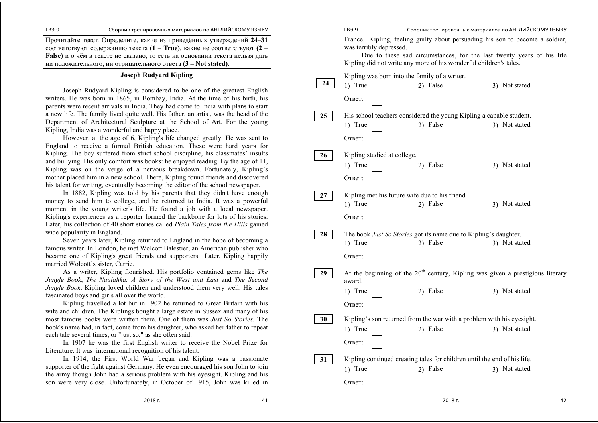Прочитайте текст. Определите, какие из приведённых утверждений **24–31** соответствуют содержанию текста **(1 – True)**, какие не соответствуют **(2 – False)** <sup>и</sup> <sup>о</sup> чём <sup>в</sup> тексте не сказано, то есть на основании текста нельзя дать ни положительного, ни отрицательного ответа **(3 – Not stated)**.

#### **Joseph Rudyard Kipling**

 Joseph Rudyard Kipling is considered to be one of the greatest English writers. He was born in 1865, in Bombay, India. At the time of his birth, his parents were recent arrivals in India. They had come to India with plans to start a new life. The family lived quite well. His father, an artist, was the head of the Department of Architectural Sculpture at the School of Art. For the young Kipling, India was a wonderful and happy place.

 However, at the age of 6, Kipling's life changed greatly. He was sent to England to receive a formal British education. These were hard years for Kipling. The boy suffered from strict school discipline, his classmates' insults and bullying. His only comfort was books: he enjoyed reading. By the age of 11, Kipling was on the verge of a nervous breakdown. Fortunately, Kipling's mother placed him in a new school. There, Kipling found friends and discovered his talent for writing, eventually becoming the editor of the school newspaper.

 In 1882, Kipling was told by his parents that they didn't have enough money to send him to college, and he returned to India. It was a powerful moment in the young writer's life. He found a job with a local newspaper. Kipling's experiences as a reporter formed the backbone for lots of his stories. Later, his collection of 40 short stories called *Plain Tales from the Hills* gained wide popularity in England.

 Seven years later, Kipling returned to England in the hope of becoming a famous writer. In London, he met Wolcott Balestier, an American publisher who became one of Kipling's great friends and supporters. Later, Kipling happily married Wolcott's sister, Carrie.

As a writer, Kipling flourished. His portfolio contained gems like *The Jungle Book*, *The Naulahka: A Story of the West and East* and *The Second Jungle Book*. Kipling loved children and understood them very well. His tales fascinated boys and girls all over the world.

 Kipling travelled a lot but in 1902 he returned to Great Britain with his wife and children. The Kiplings bought a large estate in Sussex and many of his most famous books were written there. One of them was *Just So Stories.* The book's name had, in fact, come from his daughter, who asked her father to repeat each tale several times, or "just so," as she often said.

 In 1907 he was the first English writer to receive the Nobel Prize for Literature. It was international recognition of his talent.

In 1914, the First World War began and Kipling was a passionate supporter of the fight against Germany. He even encouraged his son John to join the army though John had a serious problem with his eyesight. Kipling and his son were very close. Unfortunately, in October of 1915, John was killed in

ГВЭ-9 Сборник тренировочных материалов по АНГЛИЙСКОМУ ЯЗЫКУ France. Kipling, feeling guilty about persuading his son to become a soldier, was terribly depressed. Due to these sad circumstances, for the last twenty years of his life Kipling did not write any more of his wonderful children's tales. Kipling was born into the family of a writer. 1) True 2) False 3) Not stated Ответ: His school teachers considered the young Kipling a capable student. 1) True 2) False 3) Not stated Ответ: Kipling studied at college. 1) True 2) False 3) Not stated Ответ: Kipling met his future wife due to his friend. 1) True 2) False 3) Not stated Ответ: The book *Just So Stories* got its name due to Kipling's daughter. 1) True 2) False 3) Not stated Ответ: At the beginning of the  $20<sup>th</sup>$  century, Kipling was given a prestigious literary award. 1) True 2) False 3) Not stated Ответ: Kipling's son returned from the war with a problem with his eyesight. 1) True 2) False 3) Not stated Ответ: Kipling continued creating tales for children until the end of his life. 1) True 2) False 3) Not stated Ответ: **24 25 26 27 28 29 30 31**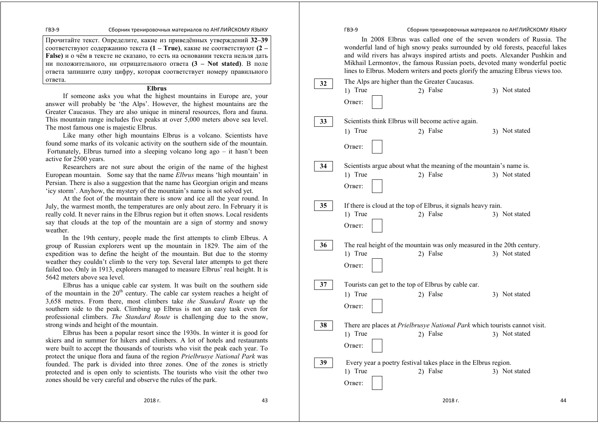Прочитайте текст. Определите, какие из приведённых утверждений **32–39**  соответствуют содержанию текста **(1 – True)**, какие не соответствуют **(2 – False)** <sup>и</sup> <sup>о</sup> чём <sup>в</sup> тексте не сказано, то есть на основании текста нельзя дать ни положительного, ни отрицательного ответа **(3 – Not stated)**. В поле ответа запишите одну цифру, которая соответствует номеру правильного ответа.

## **Elbrus**

If someone asks you what the highest mountains in Europe are, your answer will probably be 'the Alps'. However, the highest mountains are the Greater Caucasus. They are also unique in mineral resources, flora and fauna. This mountain range includes five peaks at over 5,000 meters above sea level. The most famous one is majestic Elbrus.

Like many other high mountains Elbrus is a volcano. Scientists have found some marks of its volcanic activity on the southern side of the mountain. Fortunately, Elbrus turned into a sleeping volcano long ago  $-$  it hasn't been active for 2500 years.

Researchers are not sure about the origin of the name of the highest European mountain. Some say that the name *Elbrus* means 'high mountain' in Persian. There is also a suggestion that the name has Georgian origin and means 'icy storm'. Anyhow, the mystery of the mountain's name is not solved yet.

At the foot of the mountain there is snow and ice all the year round. In July, the warmest month, the temperatures are only about zero. In February it is really cold. It never rains in the Elbrus region but it often snows. Local residents say that clouds at the top of the mountain are a sign of stormy and snowy weather.

In the 19th century, people made the first attempts to climb Elbrus. A group of Russian explorers went up the mountain in 1829. The aim of the expedition was to define the height of the mountain. But due to the stormy weather they couldn't climb to the very top. Several later attempts to get there failed too. Only in 1913, explorers managed to measure Elbrus' real height. It is 5642 meters above sea level.

Elbrus has a unique cable car system. It was built on the southern side of the mountain in the  $20<sup>th</sup>$  century. The cable car system reaches a height of 3,658 metres. From there, most climbers take *the Standard Route* up the southern side to the peak. Climbing up Elbrus is not an easy task even for professional climbers. *The Standard Route* is challenging due to the snow, strong winds and height of the mountain.

Elbrus has been a popular resort since the 1930s. In winter it is good for skiers and in summer for hikers and climbers. A lot of hotels and restaurants were built to accept the thousands of tourists who visit the peak each year. To protect the unique flora and fauna of the region *Prielbrusye National Park* was founded. The park is divided into three zones. One of the zones is strictly protected and is open only to scientists. The tourists who visit the other two zones should be very careful and observe the rules of the park.

ГВЭ-9 Сборник тренировочных материалов по АНГЛИЙСКОМУ ЯЗЫКУ In 2008 Elbrus was called one of the seven wonders of Russia. The

wonderful land of high snowy peaks surrounded by old forests, peaceful lakes and wild rivers has always inspired artists and poets. Alexander Pushkin and Mikhail Lermontov, the famous Russian poets, devoted many wonderful poetic lines to Elbrus. Modern writers and poets glorify the amazing Elbrus views too.

| 32 | The Alps are higher than the Greater Caucasus.      |                                                                                   |               |
|----|-----------------------------------------------------|-----------------------------------------------------------------------------------|---------------|
|    | 1) True                                             | 2) False                                                                          | 3) Not stated |
|    | Ответ:                                              |                                                                                   |               |
| 33 | Scientists think Elbrus will become active again.   |                                                                                   |               |
|    | 1) True                                             | 2) False                                                                          | 3) Not stated |
|    | Ответ:                                              |                                                                                   |               |
| 34 |                                                     | Scientists argue about what the meaning of the mountain's name is.                |               |
|    | 1) True                                             | 2) False                                                                          | 3) Not stated |
|    | Ответ:                                              |                                                                                   |               |
| 35 |                                                     | If there is cloud at the top of Elbrus, it signals heavy rain.                    |               |
|    | 1) True                                             | 2) False                                                                          | 3) Not stated |
|    | Ответ:                                              |                                                                                   |               |
| 36 |                                                     | The real height of the mountain was only measured in the 20th century.            |               |
|    | 1) True                                             | 2) False                                                                          | 3) Not stated |
|    | Ответ:                                              |                                                                                   |               |
| 37 | Tourists can get to the top of Elbrus by cable car. |                                                                                   |               |
|    | 1) True                                             | 2) False                                                                          | 3) Not stated |
|    | Ответ:                                              |                                                                                   |               |
| 38 |                                                     | There are places at <i>Prielbrusye National Park</i> which tourists cannot visit. |               |
|    | 1) True                                             | 2) False                                                                          | 3) Not stated |
|    | Ответ:                                              |                                                                                   |               |
| 39 |                                                     | Every year a poetry festival takes place in the Elbrus region.                    |               |
|    | 1) True                                             | 2) False                                                                          | 3) Not stated |
|    | Ответ:                                              |                                                                                   |               |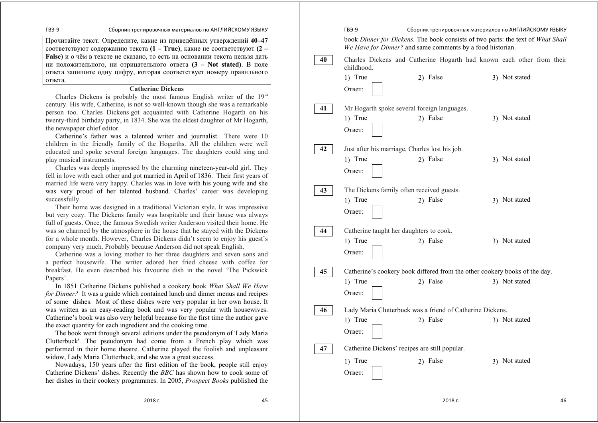Прочитайте текст. Определите, какие из приведённых утверждений **40–47**  соответствуют содержанию текста **(1 – True)**, какие не соответствуют **(2 – False)** <sup>и</sup> <sup>о</sup> чём <sup>в</sup> тексте не сказано, то есть на основании текста нельзя дать ни положительного, ни отрицательного ответа **(3 – Not stated)**. В поле ответа запишите одну цифру, которая соответствует номеру правильного ответа.

## **Catherine Dickens**

Charles Dickens is probably the most famous English writer of the  $19<sup>th</sup>$ century. His wife, Catherine, is not so well-known though she was a remarkable person too. Charles Dickens got acquainted with Catherine Hogarth on his twenty-third birthday party, in 1834. She was the eldest daughter of Mr Hogarth, the newspaper chief editor.

Catherine's father was a talented writer and journalist. There were 10 children in the friendly family of the Hogarths. All the children were well educated and spoke several foreign languages. The daughters could sing and play musical instruments.

Charles was deeply impressed by the charming nineteen-year-old girl. They fell in love with each other and got married in April of 1836. Their first years of married life were very happy. Charles was in love with his young wife and she was very proud of her talented husband. Charles' career was developing successfully.

Their home was designed in a traditional Victorian style. It was impressive but very cozy. The Dickens family was hospitable and their house was always full of guests. Once, the famous Swedish writer Anderson visited their home. He was so charmed by the atmosphere in the house that he stayed with the Dickens for a whole month. However, Charles Dickens didn't seem to enjoy his guest's company very much. Probably because Anderson did not speak English.

Catherine was a loving mother to her three daughters and seven sons and a perfect housewife. The writer adored her fried cheese with coffee for breakfast. He even described his favourite dish in the novel 'The Pickwick Papers'.

In 1851 Catherine Dickens published a cookery book *What Shall We Have for Dinner?* It was a guide which contained lunch and dinner menus and recipes of some dishes. Most of these dishes were very popular in her own house. It was written as an easy-reading book and was very popular with housewives. Catherine's book was also very helpful because for the first time the author gave the exact quantity for each ingredient and the cooking time.

The book went through several editions under the pseudonym of 'Lady Maria Clutterbuck'. The pseudonym had come from a French play which was performed in their home theatre. Catherine played the foolish and unpleasant widow, Lady Maria Clutterbuck, and she was a great success.

Nowadays, 150 years after the first edition of the book, people still enjoy Catherine Dickens' dishes. Recently the *BBC* has shown how to cook some of her dishes in their cookery programmes. In 2005, *Prospect Books* published the

ГВЭ-9 Сборник тренировочных материалов по АНГЛИЙСКОМУ ЯЗЫКУ book *Dinner for Dickens.* The book consists of two parts: the text of *What Shall We Have for Dinner?* and same comments by a food historian. Charles Dickens and Catherine Hogarth had known each other from their childhood. 1) True 2) False 3) Not stated Ответ: Mr Hogarth spoke several foreign languages. 1) True 2) False 3) Not stated Ответ: Just after his marriage, Charles lost his job. 1) True 2) False 3) Not stated Ответ: The Dickens family often received guests. 1) True 2) False 3) Not stated Ответ: Catherine taught her daughters to cook. 1) True 2) False 3) Not stated Ответ: Catherine's cookery book differed from the other cookery books of the day. 1) True 2) False 3) Not stated Ответ: Lady Maria Clutterbuck was a friend of Catherine Dickens. 1) True 2) False 3) Not stated Ответ: Catherine Dickens' recipes are still popular. 1) True 2) False 3) Not stated Ответ: **40 41 42 43 44 45 46 47**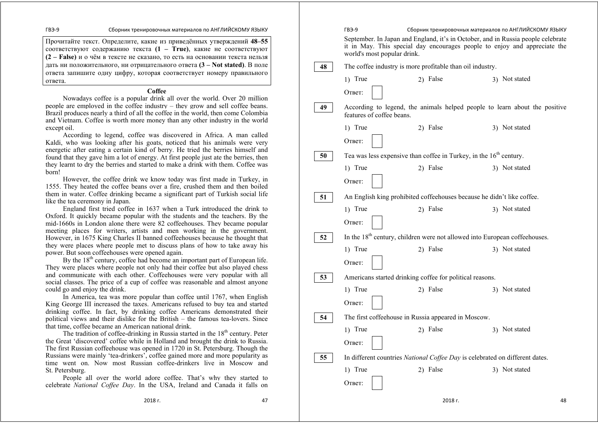Прочитайте текст. Определите, какие из приведённых утверждений **48–55**  соответствуют содержанию текста **(1 – True)**, какие не соответствуют **(2 – False)** <sup>и</sup> <sup>о</sup> чём <sup>в</sup> тексте не сказано, то есть на основании текста нельзя дать ни положительного, ни отрицательного ответа **(3 – Not stated)**. В поле ответа запишите одну цифру, которая соответствует номеру правильного ответа.

#### **Coffee**

Nowadays coffee is a popular drink all over the world. Over 20 million people are employed in the coffee industry – they grow and sell coffee beans. Brazil produces nearly a third of all the coffee in the world, then come Colombia and Vietnam. Coffee is worth more money than any other industry in the world except oil.

According to legend, coffee was discovered in Africa. A man called Kaldi, who was looking after his goats, noticed that his animals were very energetic after eating a certain kind of berry. He tried the berries himself and found that they gave him a lot of energy. At first people just ate the berries, then they learnt to dry the berries and started to make a drink with them. Coffee was born!

However, the coffee drink we know today was first made in Turkey, in 1555. They heated the coffee beans over a fire, crushed them and then boiled them in water. Coffee drinking became a significant part of Turkish social life like the tea ceremony in Japan.

England first tried coffee in 1637 when a Turk introduced the drink to Oxford. It quickly became popular with the students and the teachers. By the mid-1660s in London alone there were 82 coffeehouses. They became popular meeting places for writers, artists and men working in the government. However, in 1675 King Charles II banned coffeehouses because he thought that they were places where people met to discuss plans of how to take away his power. But soon coffeehouses were opened again.

By the  $18<sup>th</sup>$  century, coffee had become an important part of European life. They were places where people not only had their coffee but also played chess and communicate with each other. Coffeehouses were very popular with all social classes. The price of a cup of coffee was reasonable and almost anyone could go and enjoy the drink.

In America, tea was more popular than coffee until 1767, when English King George III increased the taxes. Americans refused to buy tea and started drinking coffee. In fact, by drinking coffee Americans demonstrated their political views and their dislike for the British – the famous tea-lovers. Since that time, coffee became an American national drink.

The tradition of coffee-drinking in Russia started in the  $18<sup>th</sup>$  century. Peter the Great 'discovered' coffee while in Holland and brought the drink to Russia. The first Russian coffeehouse was opened in 1720 in St. Petersburg. Though the Russians were mainly 'tea-drinkers', coffee gained more and more popularity as time went on. Now most Russian coffee-drinkers live in Moscow and St. Petersburg.

People all over the world adore coffee. That's why they started to celebrate *National Coffee Day*. In the USA, Ireland and Canada it falls on

ГВЭ-9 Сборник тренировочных материалов по АНГЛИЙСКОМУ ЯЗЫКУ September. In Japan and England, it's in October, and in Russia people celebrate it in May. This special day encourages people to enjoy and appreciate the world's most popular drink. The coffee industry is more profitable than oil industry. 1) True 2) False 3) Not stated Ответ: According to legend, the animals helped people to learn about the positive features of coffee beans. 1) True 2) False 3) Not stated Ответ: Tea was less expensive than coffee in Turkey, in the  $16<sup>th</sup>$  century. 1) True 2) False 3) Not stated Ответ: An English king prohibited coffeehouses because he didn't like coffee. 1) True 2) False 3) Not stated Ответ: In the  $18<sup>th</sup>$  century, children were not allowed into European coffeehouses. 1) True 2) False 3) Not stated Ответ: Americans started drinking coffee for political reasons. 1) True 2) False 3) Not stated Ответ: The first coffeehouse in Russia appeared in Moscow. 1) True 2) False 3) Not stated Ответ: In different countries *National Coffee Day* is celebrated on different dates. 1) True 2) False 3) Not stated Ответ: **48 49 50 51 52 53 54 55** 

2018 г. 47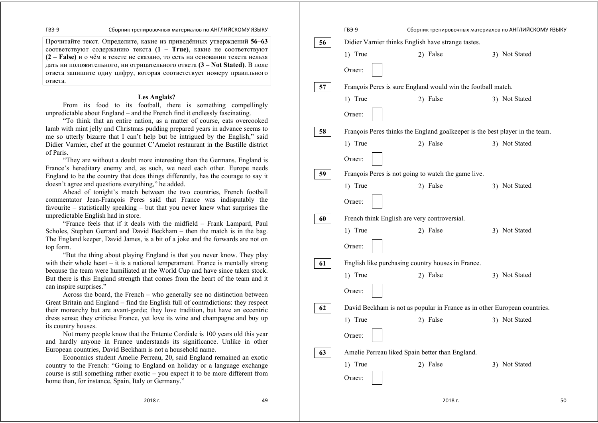Прочитайте текст. Определите, какие из приведённых утверждений **56–63** соответствуют содержанию текста **(1 – True)**, какие не соответствуют **(2 – False)** <sup>и</sup> <sup>о</sup> чём <sup>в</sup> тексте не сказано, то есть на основании текста нельзя дать ни положительного, ни отрицательного ответа **(3 – Not Stated)**. В поле ответа запишите одну цифру, которая соответствует номеру правильного ответа.

## **Les Anglais?**

From its food to its football, there is something compellingly unpredictable about England – and the French find it endlessly fascinating.

"To think that an entire nation, as a matter of course, eats overcooked lamb with mint jelly and Christmas pudding prepared years in advance seems to me so utterly bizarre that I can't help but be intrigued by the English," said Didier Varnier, chef at the gourmet C'Amelot restaurant in the Bastille district of Paris.

"They are without a doubt more interesting than the Germans. England is France's hereditary enemy and, as such, we need each other. Europe needs England to be the country that does things differently, has the courage to say it doesn't agree and questions everything," he added.

Ahead of tonight's match between the two countries, French football commentator Jean-François Peres said that France was indisputably the favourite – statistically speaking – but that you never knew what surprises the unpredictable English had in store.

"France feels that if it deals with the midfield – Frank Lampard, Paul Scholes, Stephen Gerrard and David Beckham – then the match is in the bag. The England keeper, David James, is a bit of a joke and the forwards are not on top form.

"But the thing about playing England is that you never know. They play with their whole heart – it is a national temperament. France is mentally strong because the team were humiliated at the World Cup and have since taken stock. But there is this England strength that comes from the heart of the team and it can inspire surprises."

Across the board, the French – who generally see no distinction between Great Britain and England – find the English full of contradictions: they respect their monarchy but are avant-garde; they love tradition, but have an eccentric dress sense; they criticise France, yet love its wine and champagne and buy up its country houses.

Not many people know that the Entente Cordiale is 100 years old this year and hardly anyone in France understands its significance. Unlike in other European countries, David Beckham is not a household name.

Economics student Amelie Perreau, 20, said England remained an exotic country to the French: "Going to England on holiday or a language exchange course is still something rather exotic – you expect it to be more different from home than, for instance, Spain, Italy or Germany."

|    | ГВЭ-9                                           | Сборник тренировочных материалов по АНГЛИЙСКОМУ ЯЗЫКУ                        |               |
|----|-------------------------------------------------|------------------------------------------------------------------------------|---------------|
| 56 |                                                 | Didier Varnier thinks English have strange tastes.                           |               |
|    | 1) True                                         | 2) False                                                                     | 3) Not Stated |
|    | Ответ:                                          |                                                                              |               |
| 57 |                                                 | François Peres is sure England would win the football match.                 |               |
|    | 1) True                                         | 2) False                                                                     | 3) Not Stated |
|    | Ответ:                                          |                                                                              |               |
| 58 |                                                 | François Peres thinks the England goalkeeper is the best player in the team. |               |
|    | 1) True                                         | 2) False                                                                     | 3) Not Stated |
|    | Ответ:                                          |                                                                              |               |
| 59 |                                                 | François Peres is not going to watch the game live.                          |               |
|    | 1) True                                         | 2) False                                                                     | 3) Not Stated |
|    | Ответ:                                          |                                                                              |               |
| 60 | French think English are very controversial.    |                                                                              |               |
|    | 1) True                                         | 2) False                                                                     | 3) Not Stated |
|    | Ответ:                                          |                                                                              |               |
| 61 |                                                 | English like purchasing country houses in France.                            |               |
|    | 1) True                                         | 2) False                                                                     | 3) Not Stated |
|    | Ответ:                                          |                                                                              |               |
| 62 |                                                 | David Beckham is not as popular in France as in other European countries.    |               |
|    | 1) True                                         | 2) False                                                                     | 3) Not Stated |
|    | Ответ:                                          |                                                                              |               |
| 63 | Amelie Perreau liked Spain better than England. |                                                                              |               |
|    | 1) True                                         | 2) False                                                                     | 3) Not Stated |
|    | Ответ:                                          |                                                                              |               |
|    |                                                 |                                                                              |               |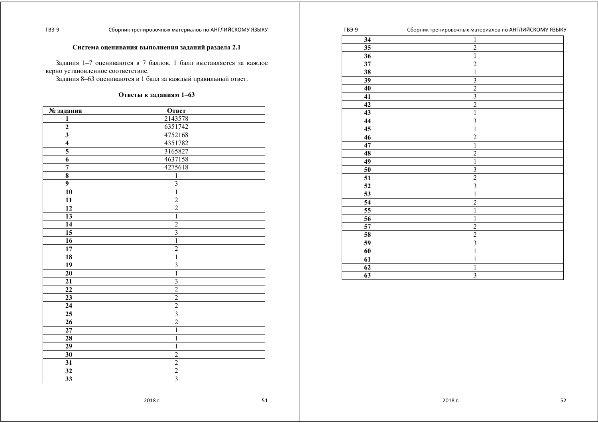## **Система оценивания выполнения заданий раздела 2.1**

Задания 1 *–*7 оцениваются <sup>в</sup> 7 баллов. 1 балл выставляется за каждое верно установленное соответствие.

Задания 8 *–*63 оцениваются <sup>в</sup> 1 балл за каждый правильный ответ.

#### **Ответы <sup>к</sup> заданиям 1–63**

| № задания               | Ответ                   |
|-------------------------|-------------------------|
| 1                       | 2143578                 |
| $\overline{\mathbf{c}}$ | 6351742                 |
| $\overline{\mathbf{3}}$ | 4752168                 |
| $\overline{\bf{4}}$     | 4351782                 |
| $\overline{\mathbf{5}}$ | 3165827                 |
| $\overline{6}$          | 4637158                 |
| $\overline{7}$          | 4275618                 |
| $\overline{\mathbf{8}}$ | $\overline{1}$          |
| $\overline{9}$          | $\overline{\mathbf{3}}$ |
| 10                      | $\overline{1}$          |
| 11                      | $\overline{c}$          |
| 12                      | $\overline{c}$          |
| 13                      | $\mathbf{1}$            |
| $\overline{14}$         | $\overline{c}$          |
| 15                      | $\overline{3}$          |
| 16                      | $\overline{1}$          |
| 17                      | $\overline{2}$          |
| 18                      | $\overline{1}$          |
| 19                      | $\overline{\mathbf{3}}$ |
| 20                      | $\overline{1}$          |
| 21                      | $\overline{3}$          |
| 22                      | $\overline{2}$          |
| 23                      | $\frac{2}{2}$           |
| $\overline{24}$         |                         |
| 25                      | $\overline{3}$          |
| 26                      | $\overline{2}$          |
| 27                      | $\mathbf{1}$            |
| 28                      | $\overline{1}$          |
| 29                      | $\mathbf{1}$            |
| 30                      | $\overline{2}$          |
| 31                      | $\overline{2}$          |
| 32                      | $\frac{2}{3}$           |
| $\overline{33}$         |                         |

| 34              | . .<br>$\overline{\phantom{a}}$<br>$\,1\,$ |
|-----------------|--------------------------------------------|
|                 |                                            |
| $\overline{35}$ | $\overline{2}$                             |
| $\overline{36}$ | $\overline{1}$                             |
| 37              | $\overline{2}$                             |
| 38              | $\overline{1}$                             |
| $\overline{39}$ | $\overline{\mathbf{3}}$                    |
| 40              | $rac{2}{3}$                                |
| 41              |                                            |
| 42              | $\overline{2}$                             |
| 43              | $\overline{1}$                             |
| $\overline{44}$ | $\overline{\mathbf{3}}$                    |
| 45              | $\overline{1}$                             |
| 46              | $\overline{2}$                             |
| 47              | $\mathbbm{1}$                              |
| 48              | $\overline{2}$                             |
| 49              | $\mathbbm{1}$                              |
| 50              | $\overline{3}$                             |
| $\overline{51}$ | $\overline{c}$                             |
| 52              | $\overline{\mathbf{3}}$                    |
| 53              | $\overline{1}$                             |
| $\overline{54}$ | $\overline{2}$                             |
| $\overline{55}$ | $\mathbf{1}$                               |
| 56              | $\overline{1}$                             |
| 57              | $\overline{2}$                             |
| 58              | $\overline{2}$                             |
| 59              | $\overline{\mathbf{3}}$                    |
| 60              | $\mathbf{1}$                               |
| 61              | $\mathbf{1}$                               |
| 62              | $\mathbbm{1}$                              |
| 63              | $\overline{3}$                             |
|                 |                                            |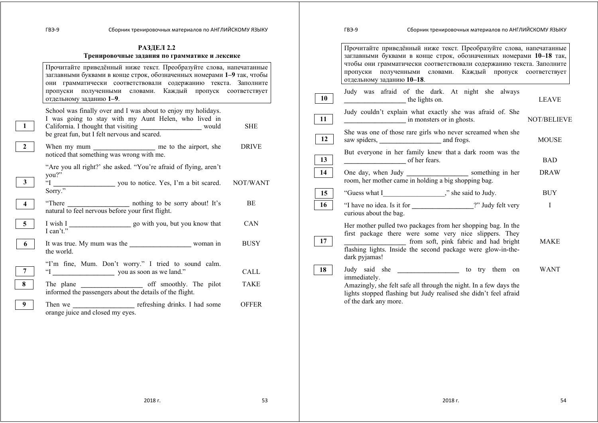# **РАЗДЕЛ 2.2 Тренировочные задания по грамматике <sup>и</sup> лексике**

|                | Прочитайте приведённый ниже текст. Преобразуйте слова, напечатанные<br>заглавными буквами в конце строк, обозначенных номерами 1-9 так, чтобы<br>они грамматически соответствовали содержанию текста. Заполните<br>пропуски полученными словами. Каждый пропуск соответствует<br>отдельному заданию 1-9. |              |
|----------------|----------------------------------------------------------------------------------------------------------------------------------------------------------------------------------------------------------------------------------------------------------------------------------------------------------|--------------|
| $\mathbf{1}$   | School was finally over and I was about to enjoy my holidays.<br>I was going to stay with my Aunt Helen, who lived in<br>California. I thought that visiting __________________ would<br>be great fun, but I felt nervous and scared.                                                                    | <b>SHE</b>   |
| $\mathbf{2}$   | noticed that something was wrong with me.                                                                                                                                                                                                                                                                | <b>DRIVE</b> |
| 3              | "Are you all right?' she asked. "You're afraid of flying, aren't<br>you?"<br>$\mathbf{I}^{\circ}$<br>you to notice. Yes, I'm a bit scared. NOT/WANT<br>Sorry."                                                                                                                                           |              |
| $\overline{4}$ | nothing to be sorry about! It's<br>"There"<br>natural to feel nervous before your first flight.                                                                                                                                                                                                          | BE           |
| 5 <sup>5</sup> | I can't."                                                                                                                                                                                                                                                                                                | <b>CAN</b>   |
| 6              | the world.                                                                                                                                                                                                                                                                                               | <b>BUSY</b>  |
| $\overline{7}$ | "I'm fine, Mum. Don't worry." I tried to sound calm.                                                                                                                                                                                                                                                     | <b>CALL</b>  |
| 8              | informed the passengers about the details of the flight.                                                                                                                                                                                                                                                 | <b>TAKE</b>  |
| 9              | orange juice and closed my eyes.                                                                                                                                                                                                                                                                         | <b>OFFER</b> |

|    | <b>ГВЭ-9</b>                          | Сборник тренировочных материалов по АНГЛИЙСКОМУ ЯЗЫКУ                                                                                                                                                                                     |                              |
|----|---------------------------------------|-------------------------------------------------------------------------------------------------------------------------------------------------------------------------------------------------------------------------------------------|------------------------------|
|    | пропуски<br>отдельному заданию 10-18. | Прочитайте приведённый ниже текст. Преобразуйте слова, напечатанные<br>заглавными буквами в конце строк, обозначенных номерами 10-18 так,<br>чтобы они грамматически соответствовали содержанию текста. Заполните<br>полученными словами. | Каждый пропуск соответствует |
| 10 | the lights on.                        | Judy was afraid of the dark. At night she always                                                                                                                                                                                          | <b>LEAVE</b>                 |
| 11 |                                       | Judy couldn't explain what exactly she was afraid of. She<br>in monsters or in ghosts.                                                                                                                                                    | <b>NOT/BELIEVE</b>           |
| 12 |                                       | She was one of those rare girls who never screamed when she                                                                                                                                                                               | <b>MOUSE</b>                 |
| 13 | of her fears.                         | But everyone in her family knew that a dark room was the                                                                                                                                                                                  | <b>BAD</b>                   |
| 14 |                                       | One day, when Judy ________________________ something in her<br>room, her mother came in holding a big shopping bag.                                                                                                                      | <b>DRAW</b>                  |
| 15 |                                       |                                                                                                                                                                                                                                           | <b>BUY</b>                   |
| 16 | curious about the bag.                | "I have no idea. Is it for _________________?" Judy felt very                                                                                                                                                                             | I                            |
| 17 | dark pyjamas!                         | Her mother pulled two packages from her shopping bag. In the<br>first package there were some very nice slippers. They<br>from soft, pink fabric and had bright<br>flashing lights. Inside the second package were glow-in-the-           | <b>MAKE</b>                  |
| 18 | immediately.<br>of the dark any more. | Judy said she ___________________________ to try them on<br>Amazingly, she felt safe all through the night. In a few days the<br>lights stopped flashing but Judy realised she didn't feel afraid                                         | <b>WANT</b>                  |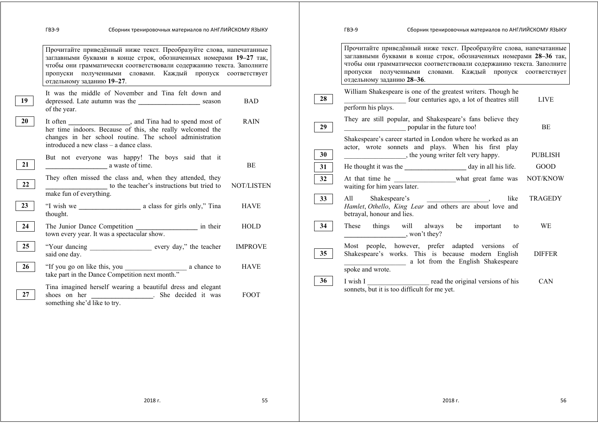|          | Сборник тренировочных материалов по АНГЛИЙСКОМУ ЯЗЫКУ<br>ГВЭ-9                                                                                                                                                                                                                                               |                               |          | Сборник тренировочных материалов по АНГЛИЙСКОМУ ЯЗЫКУ<br>ГВЭ-9                                                                                                                                                                                                                                               |  |
|----------|--------------------------------------------------------------------------------------------------------------------------------------------------------------------------------------------------------------------------------------------------------------------------------------------------------------|-------------------------------|----------|--------------------------------------------------------------------------------------------------------------------------------------------------------------------------------------------------------------------------------------------------------------------------------------------------------------|--|
|          | Прочитайте приведённый ниже текст. Преобразуйте слова, напечатанные<br>заглавными буквами в конце строк, обозначенных номерами 19-27 так,<br>чтобы они грамматически соответствовали содержанию текста. Заполните<br>пропуски полученными словами. Каждый пропуск соответствует<br>отдельному заданию 19-27. |                               |          | Прочитайте приведённый ниже текст. Преобразуйте слова, напечатанные<br>заглавными буквами в конце строк, обозначенных номерами 28-36 так,<br>чтобы они грамматически соответствовали содержанию текста. Заполните<br>пропуски полученными словами. Каждый пропуск соответствует<br>отдельному заданию 28-36. |  |
| 19       | It was the middle of November and Tina felt down and<br>depressed. Late autumn was the ______________________ season<br>of the year.                                                                                                                                                                         | <b>BAD</b>                    | 28       | William Shakespeare is one of the greatest writers. Though he<br>four centuries ago, a lot of theatres still<br><b>LIVE</b><br>perform his plays.                                                                                                                                                            |  |
| 20       | changes in her school routine. The school administration<br>introduced a new class – a dance class.                                                                                                                                                                                                          | <b>RAIN</b>                   | 29       | They are still popular, and Shakespeare's fans believe they<br>popular in the future too!<br>BE<br>Shakespeare's career started in London where he worked as an<br>actor, wrote sonnets and plays. When his first play                                                                                       |  |
| 21       | But not everyone was happy! The boys said that it<br>a waste of time.                                                                                                                                                                                                                                        | BE                            | 30<br>31 | $\blacksquare$ , the young writer felt very happy.<br><b>PUBLISH</b><br><b>GOOD</b>                                                                                                                                                                                                                          |  |
| 22       | They often missed the class and, when they attended, they<br>to the teacher's instructions but tried to<br>make fun of everything.                                                                                                                                                                           | <b>NOT/LISTEN</b>             | 32       | At that time he what great fame was<br>NOT/KNOW<br>waiting for him years later.                                                                                                                                                                                                                              |  |
| 23       | thought.                                                                                                                                                                                                                                                                                                     | <b>HAVE</b>                   | 33       | All Shakespeare's like<br>Hamlet, Othello, King Lear and others are about love and<br><b>TRAGEDY</b><br>betrayal, honour and lies.                                                                                                                                                                           |  |
| 24       | The Junior Dance Competition in their<br>town every year. It was a spectacular show.                                                                                                                                                                                                                         | <b>HOLD</b>                   | 34       | WE<br>These things will always be important<br>to<br>, won't they?                                                                                                                                                                                                                                           |  |
| 25<br>26 | "Your dancing ____________________ every day," the teacher<br>said one day.                                                                                                                                                                                                                                  | <b>IMPROVE</b><br><b>HAVE</b> | 35       | Most people, however, prefer adapted versions of<br>Shakespeare's works. This is because modern English<br><b>DIFFER</b><br>a lot from the English Shakespeare<br>spoke and wrote.                                                                                                                           |  |
| 27       | Tina imagined herself wearing a beautiful dress and elegant<br>shoes on her ________________. She decided it was<br>something she'd like to try.                                                                                                                                                             | FOOT                          | 36       | I wish I read the original versions of his<br><b>CAN</b><br>sonnets, but it is too difficult for me yet.                                                                                                                                                                                                     |  |
|          |                                                                                                                                                                                                                                                                                                              |                               |          |                                                                                                                                                                                                                                                                                                              |  |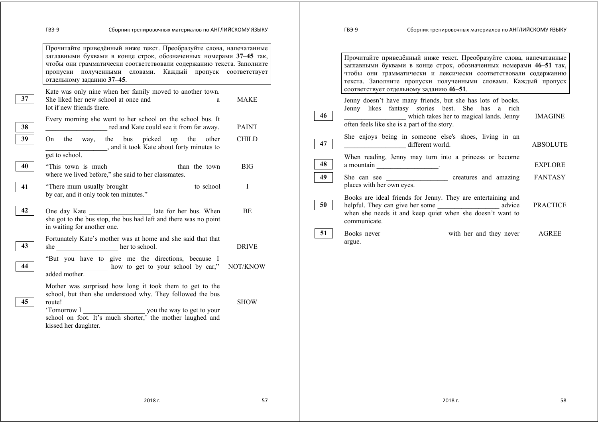|    | Прочитайте приведённый ниже текст. Преобразуйте слова, напечатанные<br>заглавными буквами в конце строк, обозначенных номерами 37-45 так,<br>чтобы они грамматически соответствовали содержанию текста. Заполните<br>пропуски полученными словами. Каждый пропуск соответствует<br>отдельному заданию 37-45. |              |    | Прочитайте приведённый ниже текст. Преобразуйте слова, напечатанные<br>заглавными буквами в конце строк, обозначенных номерами 46-51 так,<br>чтобы они грамматически и лексически соответствовали содержанию<br>текста. Заполните пропуски полученными словами. Каждый пропуск |                 |
|----|--------------------------------------------------------------------------------------------------------------------------------------------------------------------------------------------------------------------------------------------------------------------------------------------------------------|--------------|----|--------------------------------------------------------------------------------------------------------------------------------------------------------------------------------------------------------------------------------------------------------------------------------|-----------------|
| 37 | Kate was only nine when her family moved to another town.<br>She liked her new school at once and a<br>lot if new friends there.                                                                                                                                                                             | MAKE         | 46 | соответствует отдельному заданию 46-51.<br>Jenny doesn't have many friends, but she has lots of books.<br>Jenny likes fantasy stories best. She has a rich<br>which takes her to magical lands. Jenny                                                                          | <b>IMAGINE</b>  |
| 38 | Every morning she went to her school on the school bus. It<br>red and Kate could see it from far away.                                                                                                                                                                                                       | <b>PAINT</b> |    | often feels like she is a part of the story.                                                                                                                                                                                                                                   |                 |
| 39 | On the way, the bus picked up the other<br>and it took Kate about forty minutes to                                                                                                                                                                                                                           | <b>CHILD</b> | 47 | She enjoys being in someone else's shoes, living in an<br>different world.                                                                                                                                                                                                     | <b>ABSOLUTE</b> |
| 40 | get to school.<br>where we lived before," she said to her classmates.                                                                                                                                                                                                                                        | <b>BIG</b>   | 48 | When reading, Jenny may turn into a princess or become<br>$a$ mountain $\frac{a}{b}$                                                                                                                                                                                           | <b>EXPLORE</b>  |
| 41 | "There mum usually brought to school                                                                                                                                                                                                                                                                         | I            | 49 | places with her own eyes.                                                                                                                                                                                                                                                      | <b>FANTASY</b>  |
| 42 | by car, and it only took ten minutes."<br>One day Kate ____________________ late for her bus. When<br>she got to the bus stop, the bus had left and there was no point<br>in waiting for another one.                                                                                                        | BE           | 50 | Books are ideal friends for Jenny. They are entertaining and<br>when she needs it and keep quiet when she doesn't want to<br>communicate.                                                                                                                                      | <b>PRACTICE</b> |
| 43 | Fortunately Kate's mother was at home and she said that that<br>she ___________________ her to school.                                                                                                                                                                                                       | <b>DRIVE</b> | 51 | argue.                                                                                                                                                                                                                                                                         | <b>AGREE</b>    |
| 44 | "But you have to give me the directions, because I<br>how to get to your school by car," NOT/KNOW<br>added mother.                                                                                                                                                                                           |              |    |                                                                                                                                                                                                                                                                                |                 |
| 45 | Mother was surprised how long it took them to get to the<br>school, but then she understood why. They followed the bus<br>route!<br>'Tomorrow I you the way to get to your<br>school on foot. It's much shorter,' the mother laughed and<br>kissed her daughter.                                             | <b>SHOW</b>  |    |                                                                                                                                                                                                                                                                                |                 |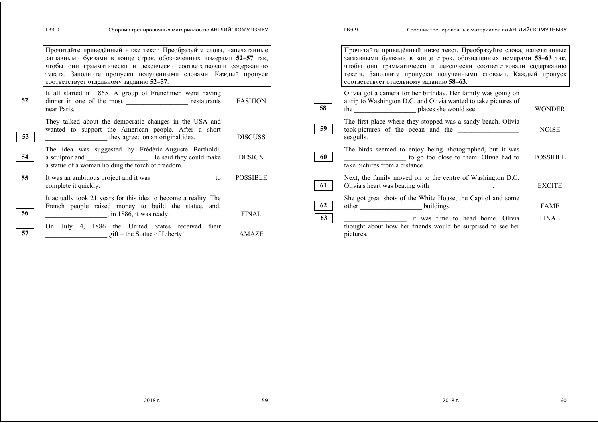|    | Сборник тренировочных материалов по АНГЛИЙСКОМУ ЯЗЫКУ<br>ГВЭ-9                                                                                                                                                                                                                                                            |                 |          | Сборник тренировочных материалов по АНГЛИЙСКОМУ ЯЗЫКУ<br><b>FB3-9</b>                                                                                                                                                                                                                                                     |                 |
|----|---------------------------------------------------------------------------------------------------------------------------------------------------------------------------------------------------------------------------------------------------------------------------------------------------------------------------|-----------------|----------|---------------------------------------------------------------------------------------------------------------------------------------------------------------------------------------------------------------------------------------------------------------------------------------------------------------------------|-----------------|
|    | Прочитайте приведённый ниже текст. Преобразуйте слова, напечатанные<br>заглавными буквами в конце строк, обозначенных номерами 52-57 так,<br>чтобы они грамматически и лексически соответствовали содержанию<br>текста. Заполните пропуски полученными словами. Каждый пропуск<br>соответствует отдельному заданию 52-57. |                 |          | Прочитайте приведённый ниже текст. Преобразуйте слова, напечатанные<br>заглавными буквами в конце строк, обозначенных номерами 58-63 так,<br>чтобы они грамматически и лексически соответствовали содержанию<br>текста. Заполните пропуски полученными словами. Каждый пропуск<br>соответствует отдельному заданию 58-63. |                 |
| 52 | It all started in 1865. A group of Frenchmen were having<br>near Paris.                                                                                                                                                                                                                                                   | <b>FASHION</b>  | 58       | Olivia got a camera for her birthday. Her family was going on<br>a trip to Washington D.C. and Olivia wanted to take pictures of<br>places she would see.<br>the $\qquad$                                                                                                                                                 | <b>WONDER</b>   |
| 53 | They talked about the democratic changes in the USA and<br>wanted to support the American people. After a short<br>they agreed on an original idea.                                                                                                                                                                       | <b>DISCUSS</b>  | 59       | The first place where they stopped was a sandy beach. Olivia<br>took pictures of the ocean and the<br>seagulls.                                                                                                                                                                                                           | <b>NOISE</b>    |
| 54 | The idea was suggested by Frédéric-Auguste Bartholdi,<br>a sculptor and _____________________. He said they could make<br>a statue of a woman holding the torch of freedom.                                                                                                                                               | <b>DESIGN</b>   | 60       | The birds seemed to enjoy being photographed, but it was<br>to go too close to them. Olivia had to<br>take pictures from a distance.                                                                                                                                                                                      | <b>POSSIBLE</b> |
| 55 | It was an ambitious project and it was _____________________ to<br>complete it quickly.                                                                                                                                                                                                                                   | <b>POSSIBLE</b> | 61       | Next, the family moved on to the centre of Washington D.C.<br>Olivia's heart was beating with the control of the control of the control of the control of the control of the control of the control of the control of the control of the control of the control of the control of the contro                              | <b>EXCITE</b>   |
| 56 | It actually took 21 years for this idea to become a reality. The<br>French people raised money to build the statue, and,<br>$\frac{1}{2}$ , in 1886, it was ready.                                                                                                                                                        | <b>FINAL</b>    | 62<br>63 | She got great shots of the White House, the Capitol and some<br>buildings.<br>other                                                                                                                                                                                                                                       | <b>FAME</b>     |
| 57 | On July 4, 1886 the United States received their<br>$\text{gift}$ – the Statue of Liberty!                                                                                                                                                                                                                                | AMAZE           |          | t it was time to head home. Olivia<br>thought about how her friends would be surprised to see her<br>pictures.                                                                                                                                                                                                            | <b>FINAL</b>    |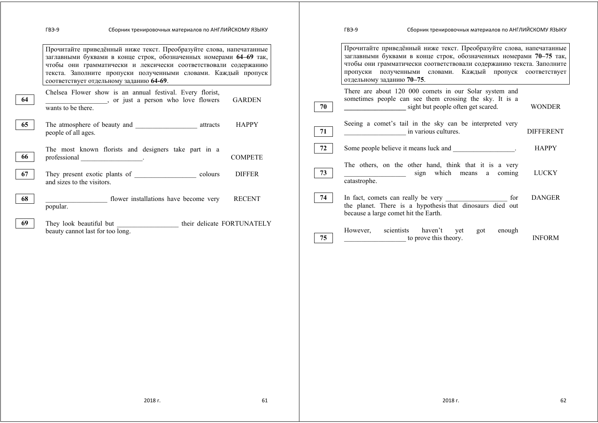|    | Сборник тренировочных материалов по АНГЛИЙСКОМУ ЯЗЫКУ<br>ГВЭ-9                                                                                                                                                                                                                                                            |    | Сборник тренировочных материалов по АНГЛИЙСКОМУ ЯЗЫКУ<br>ГВЭ-9                                                                                                                                                                                                                                               |                  |
|----|---------------------------------------------------------------------------------------------------------------------------------------------------------------------------------------------------------------------------------------------------------------------------------------------------------------------------|----|--------------------------------------------------------------------------------------------------------------------------------------------------------------------------------------------------------------------------------------------------------------------------------------------------------------|------------------|
|    | Прочитайте приведённый ниже текст. Преобразуйте слова, напечатанные<br>заглавными буквами в конце строк, обозначенных номерами 64-69 так,<br>чтобы они грамматически и лексически соответствовали содержанию<br>текста. Заполните пропуски полученными словами. Каждый пропуск<br>соответствует отдельному заданию 64-69. |    | Прочитайте приведённый ниже текст. Преобразуйте слова, напечатанные<br>заглавными буквами в конце строк, обозначенных номерами 70-75 так,<br>чтобы они грамматически соответствовали содержанию текста. Заполните<br>пропуски полученными словами. Каждый пропуск соответствует<br>отдельному заданию 70-75. |                  |
| 64 | Chelsea Flower show is an annual festival. Every florist,<br><b>GARDEN</b><br>wants to be there.                                                                                                                                                                                                                          | 70 | There are about 120 000 comets in our Solar system and<br>sometimes people can see them crossing the sky. It is a<br>sight but people often get scared.                                                                                                                                                      | <b>WONDER</b>    |
| 65 | <b>HAPPY</b><br>The atmosphere of beauty and attracts attracts<br>people of all ages.                                                                                                                                                                                                                                     | 71 | Seeing a comet's tail in the sky can be interpreted very<br>in various cultures.                                                                                                                                                                                                                             | <b>DIFFERENT</b> |
| 66 | The most known florists and designers take part in a<br><b>COMPETE</b><br>professional results.                                                                                                                                                                                                                           | 72 | Some people believe it means luck and                                                                                                                                                                                                                                                                        | <b>HAPPY</b>     |
| 67 | <b>DIFFER</b><br>They present exotic plants of colours<br>and sizes to the visitors.                                                                                                                                                                                                                                      | 73 | The others, on the other hand, think that it is a very<br>sign which means a coming<br>catastrophe.                                                                                                                                                                                                          | <b>LUCKY</b>     |
| 68 | <b>RECENT</b><br>flower installations have become very<br>popular.                                                                                                                                                                                                                                                        | 74 | for<br>the planet. There is a hypothesis that dinosaurs died out<br>because a large comet hit the Earth.                                                                                                                                                                                                     | <b>DANGER</b>    |
| 69 | They look beautiful but __________________their delicate FORTUNATELY<br>beauty cannot last for too long.                                                                                                                                                                                                                  | 75 | However,<br>scientists<br>haven't<br>enough<br>vet<br>got<br>to prove this theory.                                                                                                                                                                                                                           | <b>INFORM</b>    |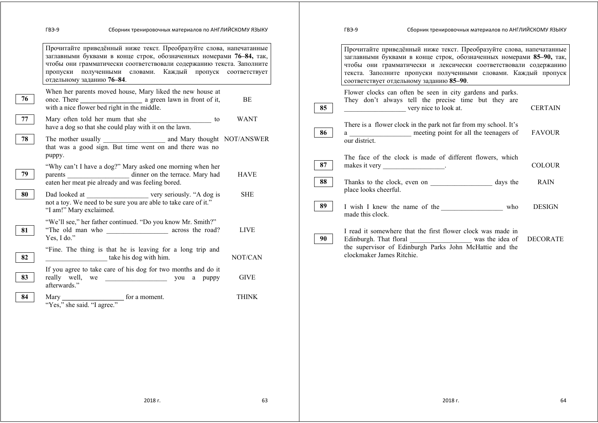|    | Сборник тренировочных материалов по АНГЛИЙСКОМУ ЯЗЫКУ<br>ГВЭ-9                                                                                                                                                                                                                                                |              |          | ГВЭ-9                                     | Сборник тренировочных материалов по АНГЛИЙСКОМУ ЯЗЫКУ                                                                                                                                                                                                                                                                      |                              |
|----|---------------------------------------------------------------------------------------------------------------------------------------------------------------------------------------------------------------------------------------------------------------------------------------------------------------|--------------|----------|-------------------------------------------|----------------------------------------------------------------------------------------------------------------------------------------------------------------------------------------------------------------------------------------------------------------------------------------------------------------------------|------------------------------|
|    | Прочитайте приведённый ниже текст. Преобразуйте слова, напечатанные<br>заглавными буквами в конце строк, обозначенных номерами 76-84, так,<br>чтобы они грамматически соответствовали содержанию текста. Заполните<br>пропуски полученными словами. Каждый пропуск соответствует<br>отдельному заданию 76-84. |              |          |                                           | Прочитайте приведённый ниже текст. Преобразуйте слова, напечатанные<br>заглавными буквами в конце строк, обозначенных номерами 85-90, так,<br>чтобы они грамматически и лексически соответствовали содержанию<br>текста. Заполните пропуски полученными словами. Каждый пропуск<br>соответствует отдельному заданию 85-90. |                              |
| 76 | When her parents moved house, Mary liked the new house at<br>with a nice flower bed right in the middle.                                                                                                                                                                                                      | BE           | 85       |                                           | Flower clocks can often be seen in city gardens and parks.<br>They don't always tell the precise time but they are<br>very nice to look at.                                                                                                                                                                                | <b>CERTAIN</b>               |
| 77 | Mary often told her mum that she ______________________ to<br>have a dog so that she could play with it on the lawn.                                                                                                                                                                                          | <b>WANT</b>  | 86       |                                           | There is a flower clock in the park not far from my school. It's<br>a ____________________ meeting point for all the teenagers of                                                                                                                                                                                          | <b>FAVOUR</b>                |
| 78 | that was a good sign. But time went on and there was no                                                                                                                                                                                                                                                       |              |          | our district.                             |                                                                                                                                                                                                                                                                                                                            |                              |
| 79 | puppy.<br>"Why can't I have a dog?" Mary asked one morning when her<br>parents ________________________ dinner on the terrace. Mary had<br>eaten her meat pie already and was feeling bored.                                                                                                                  | <b>HAVE</b>  | 87<br>88 | makes it very ___________________.        | The face of the clock is made of different flowers, which                                                                                                                                                                                                                                                                  | <b>COLOUR</b><br><b>RAIN</b> |
| 80 | not a toy. We need to be sure you are able to take care of it."<br>"I am!" Mary exclaimed.                                                                                                                                                                                                                    | <b>SHE</b>   | 89       | place looks cheerful.<br>made this clock. | I wish I knew the name of the who                                                                                                                                                                                                                                                                                          | <b>DESIGN</b>                |
| 81 | "We'll see," her father continued. "Do you know Mr. Smith?"<br>Yes, I do."                                                                                                                                                                                                                                    | <b>LIVE</b>  | 90       |                                           | I read it somewhere that the first flower clock was made in<br>Edinburgh. That floral was the idea of DECORATE                                                                                                                                                                                                             |                              |
| 82 | "Fine. The thing is that he is leaving for a long trip and<br>take his dog with him.                                                                                                                                                                                                                          | NOT/CAN      |          | clockmaker James Ritchie.                 | the supervisor of Edinburgh Parks John McHattie and the                                                                                                                                                                                                                                                                    |                              |
| 83 | If you agree to take care of his dog for two months and do it<br>afterwards."                                                                                                                                                                                                                                 | <b>GIVE</b>  |          |                                           |                                                                                                                                                                                                                                                                                                                            |                              |
| 84 | Mary<br>"Yes," she said. "I agree." for a moment.                                                                                                                                                                                                                                                             | <b>THINK</b> |          |                                           |                                                                                                                                                                                                                                                                                                                            |                              |
|    |                                                                                                                                                                                                                                                                                                               |              |          |                                           |                                                                                                                                                                                                                                                                                                                            |                              |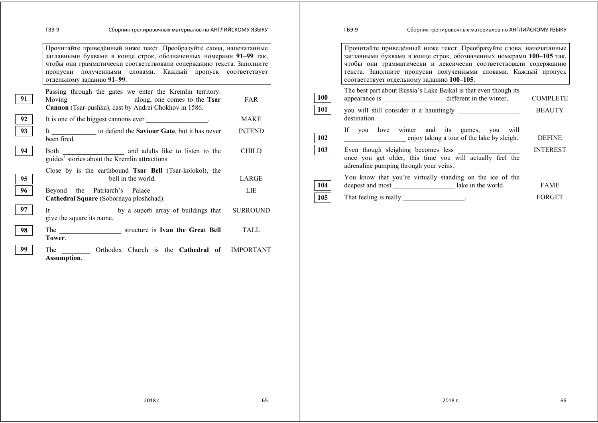|    | Сборник тренировочных материалов по АНГЛИЙСКОМУ ЯЗЫКУ<br>ГВЭ-9                                                                                                                                                                                                                                               |                      | ГВЭ-9                                                                                                                                                                                                                                                                                                                         | Сборник тренировочных материалов по АНГЛИЙСКОМУ ЯЗЫКУ                                              |                              |  |  |
|----|--------------------------------------------------------------------------------------------------------------------------------------------------------------------------------------------------------------------------------------------------------------------------------------------------------------|----------------------|-------------------------------------------------------------------------------------------------------------------------------------------------------------------------------------------------------------------------------------------------------------------------------------------------------------------------------|----------------------------------------------------------------------------------------------------|------------------------------|--|--|
|    | Прочитайте приведённый ниже текст. Преобразуйте слова, напечатанные<br>заглавными буквами в конце строк, обозначенных номерами 91-99 так,<br>чтобы они грамматически соответствовали содержанию текста. Заполните<br>пропуски полученными словами. Каждый пропуск соответствует<br>отдельному заданию 91-99. |                      | Прочитайте приведённый ниже текст. Преобразуйте слова, напечатанные<br>заглавными буквами в конце строк, обозначенных номерами 100-105 так,<br>чтобы они грамматически и лексически соответствовали содержанию<br>текста. Заполните пропуски полученными словами. Каждый пропуск<br>соответствует отдельному заданию 100-105. |                                                                                                    |                              |  |  |
| 91 | Passing through the gates we enter the Kremlin territory.<br>Cannon (Tsar-pushka), cast by Andrei Chokhov in 1586.                                                                                                                                                                                           | 100<br>FAR           |                                                                                                                                                                                                                                                                                                                               | The best part about Russia's Lake Baikal is that even though its                                   | <b>COMPLETE</b>              |  |  |
| 92 | It is one of the biggest cannons ever __________________.                                                                                                                                                                                                                                                    | 101<br><b>MAKE</b>   | destination.                                                                                                                                                                                                                                                                                                                  |                                                                                                    | <b>BEAUTY</b>                |  |  |
| 93 | It ______________ to defend the Saviour Gate, but it has never<br>been fired.                                                                                                                                                                                                                                | <b>INTEND</b><br>102 |                                                                                                                                                                                                                                                                                                                               | If you love winter and its games, you will<br>enjoy taking a tour of the lake by sleigh.           | <b>DEFINE</b>                |  |  |
| 94 | guides' stories about the Kremlin attractions                                                                                                                                                                                                                                                                | 103<br><b>CHILD</b>  |                                                                                                                                                                                                                                                                                                                               | once you get older, this time you will actually feel the<br>adrenaline pumping through your veins. | <b>INTEREST</b>              |  |  |
| 95 | Close by is the earthbound Tsar Bell (Tsar-kolokol), the<br>$bell$ in the world.                                                                                                                                                                                                                             | LARGE                |                                                                                                                                                                                                                                                                                                                               | You know that you're virtually standing on the ice of the                                          |                              |  |  |
| 96 | Beyond the Patriarch's Palace<br>Cathedral Square (Sobornaya ploshchad).                                                                                                                                                                                                                                     | 104<br>LIE<br>105    |                                                                                                                                                                                                                                                                                                                               | deepest and most ________________________ lake in the world.                                       | <b>FAME</b><br><b>FORGET</b> |  |  |
| 97 | give the square its name.                                                                                                                                                                                                                                                                                    | <b>SURROUND</b>      |                                                                                                                                                                                                                                                                                                                               |                                                                                                    |                              |  |  |
| 98 | Tower.                                                                                                                                                                                                                                                                                                       | TALL                 |                                                                                                                                                                                                                                                                                                                               |                                                                                                    |                              |  |  |
|    | The Orthodox Church is the Cathedral of IMPORTANT<br>Assumption.                                                                                                                                                                                                                                             |                      |                                                                                                                                                                                                                                                                                                                               |                                                                                                    |                              |  |  |

2018 г. 66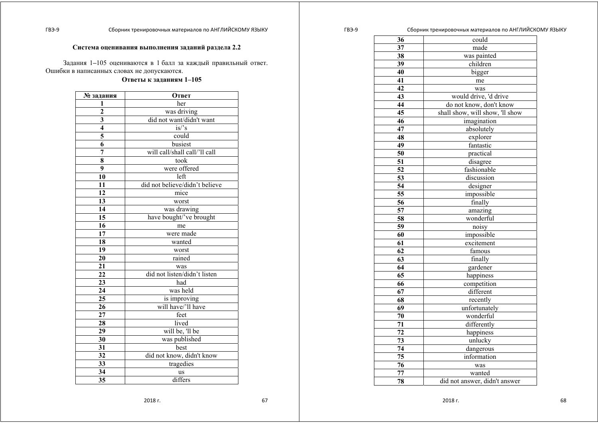## **Система оценивания выполнения заданий раздела 2.2**

Задания 1 *–*105 оцениваются <sup>в</sup> 1 балл за каждый правильный ответ. Ошибки <sup>в</sup> написанных словах не допускаются.

#### **Ответы <sup>к</sup> заданиям 1–105**

| № задания      | Ответ                          |  |  |
|----------------|--------------------------------|--|--|
| 1              | her                            |  |  |
|                | was driving                    |  |  |
| $\frac{2}{3}$  | did not want/didn't want       |  |  |
|                | $is$ 's                        |  |  |
| $\overline{5}$ | could                          |  |  |
| $\overline{6}$ | busiest                        |  |  |
| 7              | will call/shall call/'ll call  |  |  |
| 8              | took                           |  |  |
| 9              | were offered                   |  |  |
| 10             | left                           |  |  |
| 11             | did not believe/didn't believe |  |  |
| 12             | mice                           |  |  |
| 13             | worst                          |  |  |
| 14             | was drawing                    |  |  |
| 15             | have bought/'ve brought        |  |  |
| 16             | me                             |  |  |
| 17             | were made                      |  |  |
| 18             | wanted                         |  |  |
| 19             | worst                          |  |  |
| 20             | rained                         |  |  |
| 21             | was                            |  |  |
| 22             | did not listen/didn't listen   |  |  |
| 23             | had                            |  |  |
| 24             | was held                       |  |  |
| 25             | is improving                   |  |  |
| 26             | will have/'ll have             |  |  |
| 27             | feet                           |  |  |
| 28             | lived                          |  |  |
| 29             | will be, 'll be                |  |  |
| 30             | was published                  |  |  |
| 31             | best                           |  |  |
| 32             | did not know, didn't know      |  |  |
| 33             | tragedies                      |  |  |
| 34             | <b>us</b>                      |  |  |
| 35             | differs                        |  |  |

| 36 | could                           |  |
|----|---------------------------------|--|
| 37 | made                            |  |
| 38 | was painted                     |  |
| 39 | children                        |  |
| 40 | bigger                          |  |
| 41 | me                              |  |
| 42 | was                             |  |
| 43 | would drive, 'd drive           |  |
| 44 | do not know, don't know         |  |
| 45 | shall show, will show, 'll show |  |
| 46 | imagination                     |  |
| 47 | absolutely                      |  |
| 48 | explorer                        |  |
| 49 | fantastic                       |  |
| 50 | practical                       |  |
| 51 | disagree                        |  |
| 52 | fashionable                     |  |
| 53 | discussion                      |  |
| 54 | designer                        |  |
| 55 | impossible                      |  |
| 56 | finally                         |  |
| 57 | amazing                         |  |
| 58 | wonderful                       |  |
| 59 | noisy                           |  |
| 60 | impossible                      |  |
| 61 | excitement                      |  |
| 62 | famous                          |  |
| 63 | finally                         |  |
| 64 | gardener                        |  |
| 65 | happiness                       |  |
| 66 | competition                     |  |
| 67 | different                       |  |
| 68 | recently                        |  |
| 69 | unfortunately                   |  |
| 70 | wonderful                       |  |
| 71 | differently                     |  |
| 72 | happiness                       |  |
| 73 | unlucky                         |  |
| 74 | dangerous                       |  |
| 75 | information                     |  |
| 76 | was                             |  |
| 77 | wanted                          |  |
| 78 | did not answer, didn't answer   |  |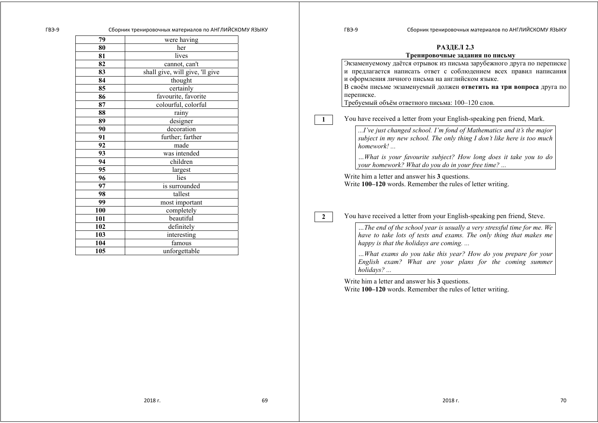| <b>РАЗДЕЛ 2.3</b>                                                                                                                                           |  |  |  |  |
|-------------------------------------------------------------------------------------------------------------------------------------------------------------|--|--|--|--|
| Тренировочные задания по письму                                                                                                                             |  |  |  |  |
| Экзаменуемому даётся отрывок из письма зарубежного друга по переписке                                                                                       |  |  |  |  |
| и предлагается написать ответ с соблюдением всех правил написания                                                                                           |  |  |  |  |
| и оформления личного письма на английском языке.                                                                                                            |  |  |  |  |
| В своём письме экзаменуемый должен ответить на три вопроса друга по                                                                                         |  |  |  |  |
| переписке.                                                                                                                                                  |  |  |  |  |
| Требуемый объём ответного письма: 100-120 слов.                                                                                                             |  |  |  |  |
| You have received a letter from your English-speaking pen friend, Mark.                                                                                     |  |  |  |  |
| I've just changed school. I'm fond of Mathematics and it's the major<br>subject in my new school. The only thing I don't like here is too much<br>homework! |  |  |  |  |
| What is your favourite subject? How long does it take you to do<br>your homework? What do you do in your free time?                                         |  |  |  |  |

Write him a letter and answer his **3** questions. Write **100–120** words. Remember the rules of letter writing.

You have received a letter from your English-speaking pen friend, Steve.

*…The end of the school year is usually a very stressful time for me. We have to take lots of tests and exams. The only thing that makes me happy is that the holidays are coming. ...* 

*…What exams do you take this year? How do you prepare for your English exam? What are your plans for the coming summer holidays? ...* 

Write him a letter and answer his **3** questions. Write **100–120** words. Remember the rules of letter writing.

| 80  | her                             |
|-----|---------------------------------|
| 81  | lives                           |
| 82  | cannot, can't                   |
| 83  | shall give, will give, 'll give |
| 84  | thought                         |
| 85  | certainly                       |
| 86  | favourite, favorite             |
| 87  | colourful, colorful             |
| 88  | rainy                           |
| 89  | designer                        |
| 90  | decoration                      |
| 91  | further; farther                |
| 92  | made                            |
| 93  | was intended                    |
| 94  | children                        |
| 95  | largest                         |
| 96  | lies                            |
| 97  | is surrounded                   |
| 98  | tallest                         |
| 99  | most important                  |
| 100 | completely                      |
| 101 | beautiful                       |
| 102 | definitely                      |
| 103 | interesting                     |
| 104 | famous                          |
| 105 | unforgettable                   |

**79** were having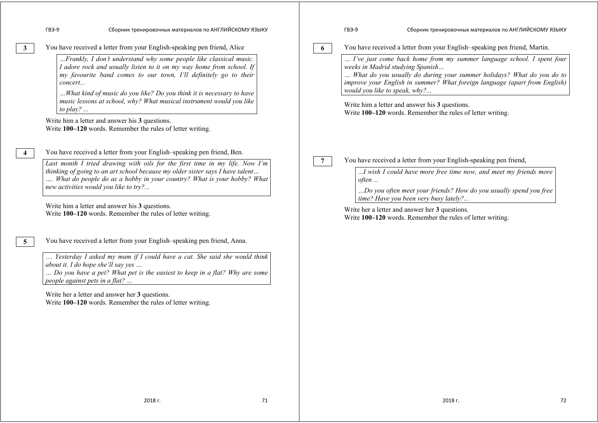|                | Сборник тренировочных материалов по АНГЛИЙСКОМУ ЯЗЫКУ<br>ГВЭ-9                                                                                                                                                                                                                                                                                                                                                                                                                                                                                                                  |                 | ГВЭ-9                                                             | Сборник тренировочных материалов по АНГЛИЙСКОМУ ЯЗЫКУ                                                                                                                                                                                                                                                                                                                                                                     |
|----------------|---------------------------------------------------------------------------------------------------------------------------------------------------------------------------------------------------------------------------------------------------------------------------------------------------------------------------------------------------------------------------------------------------------------------------------------------------------------------------------------------------------------------------------------------------------------------------------|-----------------|-------------------------------------------------------------------|---------------------------------------------------------------------------------------------------------------------------------------------------------------------------------------------------------------------------------------------------------------------------------------------------------------------------------------------------------------------------------------------------------------------------|
| $\mathbf{3}$   | You have received a letter from your English-speaking pen friend, Alice<br>Frankly, I don't understand why some people like classical music.<br>I adore rock and usually listen to it on my way home from school. If<br>my favourite band comes to our town, I'll definitely go to their<br>concert<br>What kind of music do you like? Do you think it is necessary to have<br>music lessons at school, why? What musical instrument would you like<br>to play?<br>Write him a letter and answer his 3 questions.<br>Write 100-120 words. Remember the rules of letter writing. | 6               | weeks in Madrid studying Spanish<br>would you like to speak, why? | You have received a letter from your English-speaking pen friend, Martin.<br>I've just come back home from my summer language school. I spent four<br>What do you usually do during your summer holidays? What do you do to<br>improve your English in summer? What foreign language (apart from English)<br>Write him a letter and answer his 3 questions.<br>Write 100–120 words. Remember the rules of letter writing. |
|                | You have received a letter from your English-speaking pen friend, Ben.<br>Last month I tried drawing with oils for the first time in my life. Now I'm<br>thinking of going to an art school because my older sister says I have talent<br>What do people do as a hobby in your country? What is your hobby? What<br>new activities would you like to try?<br>Write him a letter and answer his 3 questions.<br>Write 100-120 words. Remember the rules of letter writing.                                                                                                       | $7\overline{ }$ | often                                                             | You have received a letter from your English-speaking pen friend,<br>I wish I could have more free time now, and meet my friends more<br>Do you often meet your friends? How do you usually spend you free<br>time? Have you been very busy lately?<br>Write her a letter and answer her 3 questions.<br>Write 100–120 words. Remember the rules of letter writing.                                                       |
| 5 <sup>5</sup> | You have received a letter from your English-speaking pen friend, Anna.<br>Yesterday I asked my mum if I could have a cat. She said she would think<br>about it. I do hope she'll say yes<br>Do you have a pet? What pet is the easiest to keep in a flat? Why are some<br>people against pets in a flat?<br>Write her a letter and answer her 3 questions.<br>Write 100-120 words. Remember the rules of letter writing.                                                                                                                                                       |                 |                                                                   |                                                                                                                                                                                                                                                                                                                                                                                                                           |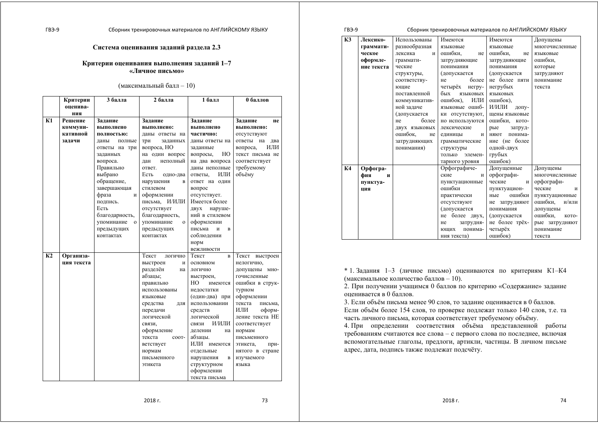#### **Система оценивания заданий раздела 2.3**

## **Критерии оценивания выполнения заданий 1***–***7 «Личное письмо»**

#### (максимальный балл – 10)

|                | Критерии   | 3 балла                   | 2 балла                    | 1 балл            | 0 баллов          |
|----------------|------------|---------------------------|----------------------------|-------------------|-------------------|
|                | оценива-   |                           |                            |                   |                   |
|                | ния        |                           |                            |                   |                   |
| K1             | Решение    | Задание                   | Задание                    | Задание           | Задание<br>не     |
|                | коммуни-   | выполнено                 | выполнено:                 | выполнено         | выполнено:        |
|                | кативной   | полностью:                | даны ответы на             | частично:         | отсутствуют       |
|                | задачи     | даны<br>полные            | три<br>заданных            | даны ответы на    | ответы на<br>два  |
|                |            | ответы на три             | вопроса, НО                | заданные          | ИЛИ<br>вопроса,   |
|                |            | заданных                  | на один вопрос             | HO<br>вопросы,    | текст письма не   |
|                |            | вопроса.                  | неполный<br>дан            | на два вопроса    | соответствует     |
|                |            | Правильно                 | ответ.                     | даны неполные     | требуемому        |
|                |            | выбрано                   | Есть<br>одно-два           | ИЛИ<br>ответы,    | объёму            |
|                |            | обращение,                | нарушения<br>B             | ответ на один     |                   |
|                |            | завершающая               | стилевом                   | вопрос            |                   |
|                |            | фраза<br>И                | оформлении                 | отсутствует.      |                   |
|                |            | подпись.                  | письма, И/ИЛИ              | Имеется более     |                   |
|                |            | Есть                      | отсутствует                | ДВУХ<br>наруше-   |                   |
|                |            | благодарность,            | благодарность,             | ний в стилевом    |                   |
|                |            | упоминание<br>$\mathbf 0$ | упоминание<br>$\mathbf{o}$ | оформлении        |                   |
|                |            | предыдущих                | предыдущих                 | письма<br>и<br>в  |                   |
|                |            | контактах                 | контактах                  | соблюдении        |                   |
|                |            |                           |                            | норм              |                   |
|                |            |                           |                            | вежливости        |                   |
| K <sub>2</sub> | Организа-  |                           | Текст<br>логично           | Текст<br>$\bf{B}$ | Текст<br>выстроен |
|                | ция текста |                           | выстроен<br>И              | основном          | нелогично,        |
|                |            |                           | разделён<br>на             | логично           | допущены мно-     |
|                |            |                           | абзацы;                    | выстроен,         | гочисленные       |
|                |            |                           | правильно                  | HО<br>имеются     | ошибки в струк-   |
|                |            |                           | использованы               | недостатки        | турном            |
|                |            |                           | языковые                   | (один-два) при    | оформлении        |
|                |            |                           | средства<br>ДЛЯ            | использовании     | текста<br>письма, |
|                |            |                           | передачи                   | средств           | ИЛИ<br>оформ-     |
|                |            |                           | логической                 | логической        | ление текста НЕ   |
|                |            |                           | связи,                     | И/ИЛИ<br>связи    | соответствует     |
|                |            |                           | оформление                 | делении<br>на     | нормам            |
|                |            |                           | текста<br>coor-            | абзацы.           | письменного       |
|                |            |                           | ветствует                  | ИЛИ имеются       | этикета,<br>при-  |
|                |            |                           | нормам                     | отдельные         | нятого в стране   |
|                |            |                           | письменного                | B<br>нарушения    | изучаемого        |
|                |            |                           | этикета                    | структурном       | языка             |
|                |            |                           |                            | оформлении        |                   |
|                |            |                           |                            | текста письма     |                   |

#### ГВЭ-9 Сборник тренировочных материалов по АНГЛИЙСКОМУ ЯЗЫКУ

| K3 | Лексико-   | Использованы  | Имеются                         | Имеются        | Допущены         |
|----|------------|---------------|---------------------------------|----------------|------------------|
|    | граммати-  | разнообразная | языковые                        | языковые       | многочисленные   |
|    | ческое     | лексика<br>И  | ошибки,<br>нe                   | ошибки.<br>нe  | языковые         |
|    | оформле-   | граммати-     | затрудняющие                    | затрудняющие   | ошибки.          |
|    | ние текста | ческие        | понимания                       | понимания      | которые          |
|    |            | структуры,    | (допускается                    | (допускается   | затрудняют       |
|    |            | соответству-  | более<br>He                     | не более пяти  | понимание        |
|    |            | ющие          | четырёх негру-                  | негрубых       | текста           |
|    |            | поставленной  | бых<br>языковых                 | языковых       |                  |
|    |            | коммуникатив- | ошибок).<br>ИЛИ                 | ошибок),       |                  |
|    |            | ной задаче    | языковые ошиб-                  | И/ИЛИ<br>допу- |                  |
|    |            | (допускается  | ки отсутствуют,                 | щены языковые  |                  |
|    |            | более<br>не   | но используются                 | ошибки, кото-  |                  |
|    |            | ДВУХ ЯЗЫКОВЫХ | лексические                     | рые<br>затруд- |                  |
|    |            | ошибок,<br>не | понима-<br>няют<br>единицы<br>и |                |                  |
|    |            | затрудняющих  | грамматические                  | ние (не более  |                  |
|    |            | понимания)    | структуры                       | одной-двух     |                  |
|    |            |               | только<br>элемен-               | грубых         |                  |
|    |            |               | тарного уровня                  | ошибок)        |                  |
| К4 | Орфогра-   |               | Орфографиче-                    | Допущенные     | Допущены         |
|    | фия<br>и   |               | ские<br>и                       | орфографи-     | многочисленные   |
|    | пунктуа-   |               | пунктуационные                  | ческие<br>И    | орфографи-       |
|    | ция        |               | ошибки                          | пунктуацион-   | ческие<br>И      |
|    |            |               | практически                     | ошибки<br>ные  | пунктуационные   |
|    |            |               | отсутствуют                     | не затрудняют  | ошибки,<br>и/или |
|    |            |               | (допускается                    | понимания      | допущены         |
|    |            |               | более двух,<br>не               | (допускается   | ошибки,<br>кото- |
|    |            |               | затрудня-<br>He                 | не более трёх- | рые затрудняют   |
|    |            |               | понима-<br>ющих                 | четырёх        | понимание        |
|    |            |               | ния текста)                     | ошибок)        | текста           |

\* 1. Задания 1*–*3 (личное письмо) оцениваются по критериям К1–К4 (максимальное количество баллов – 10).

2. При получении учащимся 0 баллов по критерию «Содержание» задание оценивается <sup>в</sup> 0 баллов.

3. Если объём письма менее 90 слов, то задание оценивается <sup>в</sup> 0 баллов. Если объём более 154 слов, то проверке подлежат только 140 слов, т.е. та часть личного письма, которая соответствует требуемому объёму.

4. При определении соответствия объёма представленной работы требованиям считаются все слова – <sup>с</sup> первого слова по последнее, включая вспомогательные глаголы, предлоги, артикли, частицы. В личном письме адрес, дата, подпись также подлежат подсчёту.